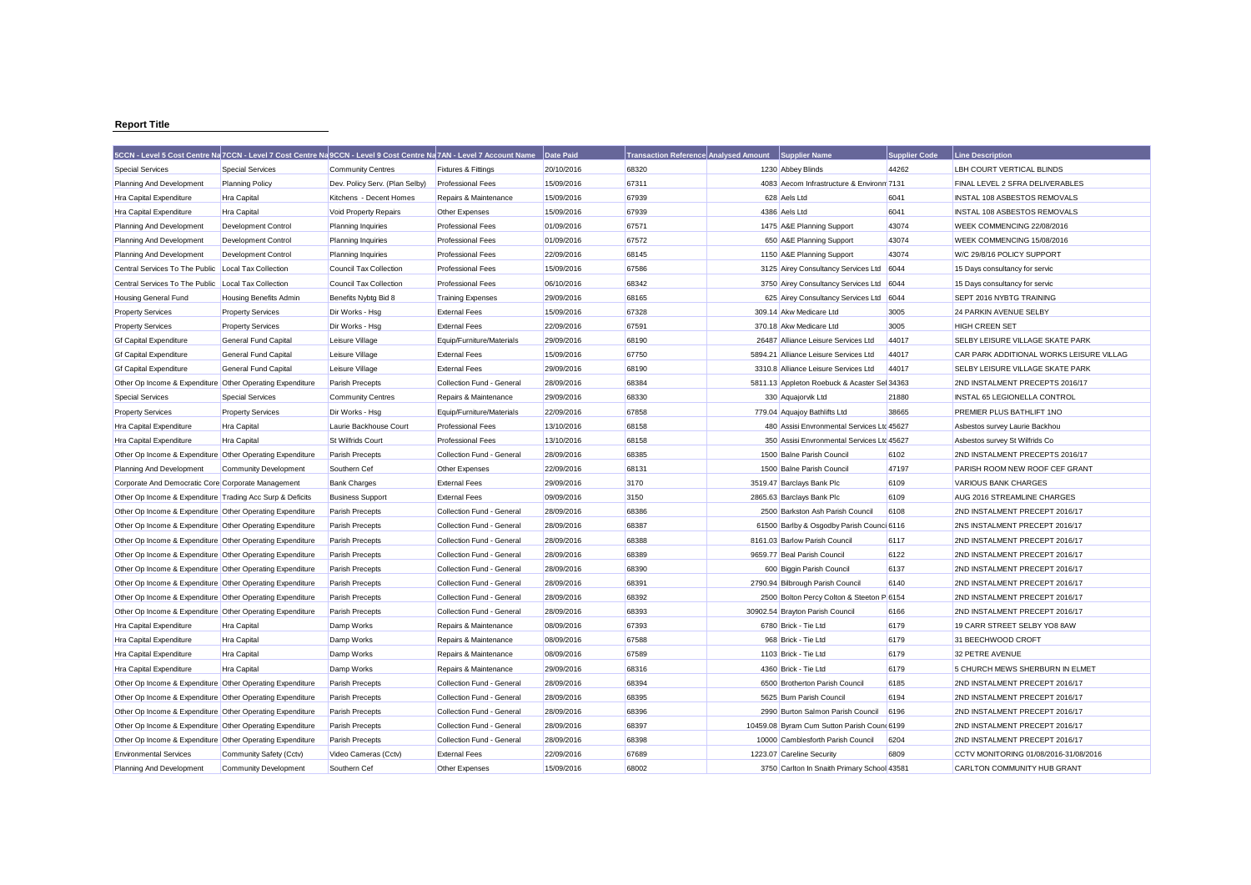## **Report Title**

|                                                           | 5CCN - Level 5 Cost Centre Na 7CCN - Level 7 Cost Centre Na 9CCN - Level 9 Cost Centre Na 7AN - Level 7 Account Name |                                |                                | Date Paid  | <b>Transaction Reference Analysed Amount</b> | Supplier Name                                | <b>Supplier Code</b> | <b>Line Description</b>                  |
|-----------------------------------------------------------|----------------------------------------------------------------------------------------------------------------------|--------------------------------|--------------------------------|------------|----------------------------------------------|----------------------------------------------|----------------------|------------------------------------------|
| <b>Special Services</b>                                   | <b>Special Services</b>                                                                                              | <b>Community Centres</b>       | <b>Fixtures &amp; Fittings</b> | 20/10/2016 | 68320                                        | 1230 Abbey Blinds                            | 44262                | LBH COURT VERTICAL BLINDS                |
| Planning And Development                                  | <b>Planning Policy</b>                                                                                               | Dev. Policy Serv. (Plan Selby) | <b>Professional Fees</b>       | 15/09/2016 | 67311                                        | 4083 Aecom Infrastructure & Environn 7131    |                      | FINAL LEVEL 2 SFRA DELIVERABLES          |
| Hra Capital Expenditure                                   | <b>Hra Capital</b>                                                                                                   | Kitchens - Decent Homes        | Repairs & Maintenance          | 15/09/2016 | 67939                                        | 628 Aels Ltd                                 | 6041                 | <b>INSTAL 108 ASBESTOS REMOVALS</b>      |
| Hra Capital Expenditure                                   | Hra Capital                                                                                                          | Void Property Repairs          | Other Expenses                 | 15/09/2016 | 67939                                        | 4386 Aels Ltd                                | 6041                 | INSTAL 108 ASBESTOS REMOVALS             |
| Planning And Development                                  | <b>Development Control</b>                                                                                           | <b>Planning Inquiries</b>      | <b>Professional Fees</b>       | 01/09/2016 | 67571                                        | 1475 A&E Planning Support                    | 43074                | WEEK COMMENCING 22/08/2016               |
| Planning And Development                                  | Development Control                                                                                                  | <b>Planning Inquiries</b>      | <b>Professional Fees</b>       | 01/09/2016 | 67572                                        | 650 A&E Planning Support                     | 43074                | WEEK COMMENCING 15/08/2016               |
| Planning And Development                                  | Development Control                                                                                                  | <b>Planning Inquiries</b>      | <b>Professional Fees</b>       | 22/09/2016 | 68145                                        | 1150 A&E Planning Support                    | 43074                | W/C 29/8/16 POLICY SUPPORT               |
| Central Services To The Public                            | Local Tax Collection                                                                                                 | Council Tax Collection         | <b>Professional Fees</b>       | 15/09/2016 | 67586                                        | 3125 Airey Consultancy Services Ltd          | 6044                 | 15 Days consultancy for servic           |
| Central Services To The Public                            | Local Tax Collection                                                                                                 | <b>Council Tax Collection</b>  | <b>Professional Fees</b>       | 06/10/2016 | 68342                                        | 3750 Airey Consultancy Services Ltd          | 6044                 | 15 Days consultancy for servic           |
| Housing General Fund                                      | <b>Housing Benefits Admin</b>                                                                                        | Benefits Nybtg Bid 8           | <b>Training Expenses</b>       | 29/09/2016 | 68165                                        | 625 Airey Consultancy Services Ltd 6044      |                      | SEPT 2016 NYBTG TRAINING                 |
| <b>Property Services</b>                                  | <b>Property Services</b>                                                                                             | Dir Works - Hsg                | <b>External Fees</b>           | 15/09/2016 | 67328                                        | 309.14 Akw Medicare Ltd                      | 3005                 | 24 PARKIN AVENUE SELBY                   |
| <b>Property Services</b>                                  | <b>Property Services</b>                                                                                             | Dir Works - Hsg                | <b>External Fees</b>           | 22/09/2016 | 67591                                        | 370.18 Akw Medicare Ltd                      | 3005                 | <b>HIGH CREEN SET</b>                    |
| <b>Gf Capital Expenditure</b>                             | <b>General Fund Capital</b>                                                                                          | Leisure Village                | Equip/Furniture/Materials      | 29/09/2016 | 68190                                        | 26487 Alliance Leisure Services Ltd          | 44017                | SELBY LEISURE VILLAGE SKATE PARK         |
| <b>Gf Capital Expenditure</b>                             | <b>General Fund Capital</b>                                                                                          | Leisure Village                | <b>External Fees</b>           | 15/09/2016 | 67750                                        | 5894.21 Alliance Leisure Services Ltd        | 44017                | CAR PARK ADDITIONAL WORKS LEISURE VILLAG |
| <b>Gf Capital Expenditure</b>                             | <b>General Fund Capital</b>                                                                                          | Leisure Village                | <b>External Fees</b>           | 29/09/2016 | 68190                                        | 3310.8 Alliance Leisure Services Ltd         | 44017                | SELBY LEISURE VILLAGE SKATE PARK         |
| Other Op Income & Expenditure Other Operating Expenditure |                                                                                                                      | Parish Precepts                | Collection Fund - General      | 28/09/2016 | 68384                                        | 5811.13 Appleton Roebuck & Acaster Sel 34363 |                      | 2ND INSTALMENT PRECEPTS 2016/17          |
| <b>Special Services</b>                                   | <b>Special Services</b>                                                                                              | <b>Community Centres</b>       | Repairs & Maintenance          | 29/09/2016 | 68330                                        | 330 Aquajorvik Ltd                           | 21880                | <b>INSTAL 65 LEGIONELLA CONTROL</b>      |
| <b>Property Services</b>                                  | <b>Property Services</b>                                                                                             | Dir Works - Hsg                | Equip/Furniture/Materials      | 22/09/2016 | 67858                                        | 779.04 Aquajoy Bathlifts Ltd                 | 38665                | PREMIER PLUS BATHLIFT 1NO                |
| Hra Capital Expenditure                                   | <b>Hra Capital</b>                                                                                                   | Laurie Backhouse Court         | <b>Professional Fees</b>       | 13/10/2016 | 68158                                        | 480 Assisi Envronmental Services Ltd 45627   |                      | Asbestos survey Laurie Backhou           |
| Hra Capital Expenditure                                   | <b>Hra Capital</b>                                                                                                   | St Wilfrids Court              | <b>Professional Fees</b>       | 13/10/2016 | 68158                                        | 350 Assisi Envronmental Services Ltd 45627   |                      | Asbestos survey St Wilfrids Co           |
| Other Op Income & Expenditure Other Operating Expenditure |                                                                                                                      | Parish Precepts                | Collection Fund - General      | 28/09/2016 | 68385                                        | 1500 Balne Parish Council                    | 6102                 | 2ND INSTALMENT PRECEPTS 2016/17          |
| Planning And Development                                  | <b>Community Development</b>                                                                                         | Southern Cef                   | Other Expenses                 | 22/09/2016 | 68131                                        | 1500 Balne Parish Council                    | 47197                | PARISH ROOM NEW ROOF CEF GRANT           |
| Corporate And Democratic Core Corporate Management        |                                                                                                                      | <b>Bank Charges</b>            | <b>External Fees</b>           | 29/09/2016 | 3170                                         | 3519.47 Barclays Bank Plc                    | 6109                 | <b>VARIOUS BANK CHARGES</b>              |
| Other Op Income & Expenditure Trading Acc Surp & Deficits |                                                                                                                      | <b>Business Support</b>        | <b>External Fees</b>           | 09/09/2016 | 3150                                         | 2865.63 Barclays Bank Plc                    | 6109                 | AUG 2016 STREAMLINE CHARGES              |
| Other Op Income & Expenditure Other Operating Expenditure |                                                                                                                      | <b>Parish Precepts</b>         | Collection Fund - General      | 28/09/2016 | 68386                                        | 2500 Barkston Ash Parish Council             | 6108                 | 2ND INSTALMENT PRECEPT 2016/17           |
| Other Op Income & Expenditure Other Operating Expenditure |                                                                                                                      | Parish Precepts                | Collection Fund - General      | 28/09/2016 | 68387                                        | 61500 Barlby & Osgodby Parish Counci 6116    |                      | 2NS INSTALMENT PRECEPT 2016/17           |
| Other Op Income & Expenditure Other Operating Expenditure |                                                                                                                      | Parish Precepts                | Collection Fund - General      | 28/09/2016 | 68388                                        | 8161.03 Barlow Parish Council                | 6117                 | 2ND INSTALMENT PRECEPT 2016/17           |
| Other Op Income & Expenditure Other Operating Expenditure |                                                                                                                      | Parish Precepts                | Collection Fund - General      | 28/09/2016 | 68389                                        | 9659.77 Beal Parish Council                  | 6122                 | 2ND INSTALMENT PRECEPT 2016/17           |
| Other Op Income & Expenditure Other Operating Expenditure |                                                                                                                      | Parish Precepts                | Collection Fund - General      | 28/09/2016 | 68390                                        | 600 Biggin Parish Council                    | 6137                 | 2ND INSTALMENT PRECEPT 2016/17           |
| Other Op Income & Expenditure Other Operating Expenditure |                                                                                                                      | <b>Parish Precepts</b>         | Collection Fund - General      | 28/09/2016 | 68391                                        | 2790.94 Bilbrough Parish Council             | 6140                 | 2ND INSTALMENT PRECEPT 2016/17           |
| Other Op Income & Expenditure Other Operating Expenditure |                                                                                                                      | Parish Precepts                | Collection Fund - General      | 28/09/2016 | 68392                                        | 2500 Bolton Percy Colton & Steeton P 6154    |                      | 2ND INSTALMENT PRECEPT 2016/17           |
| Other Op Income & Expenditure Other Operating Expenditure |                                                                                                                      | Parish Precepts                | Collection Fund - General      | 28/09/2016 | 68393                                        | 30902.54 Brayton Parish Council              | 6166                 | 2ND INSTALMENT PRECEPT 2016/17           |
| <b>Hra Capital Expenditure</b>                            | <b>Hra Capital</b>                                                                                                   | Damp Works                     | Repairs & Maintenance          | 08/09/2016 | 67393                                        | 6780 Brick - Tie Ltd                         | 6179                 | 19 CARR STREET SELBY YO8 8AW             |
| Hra Capital Expenditure                                   | Hra Capital                                                                                                          | Damp Works                     | Repairs & Maintenance          | 08/09/2016 | 67588                                        | 968 Brick - Tie Ltd                          | 6179                 | 31 BEECHWOOD CROFT                       |
| Hra Capital Expenditure                                   | <b>Hra Capital</b>                                                                                                   | Damp Works                     | Repairs & Maintenance          | 08/09/2016 | 67589                                        | 1103 Brick - Tie Ltd                         | 6179                 | 32 PETRE AVENUE                          |
| Hra Capital Expenditure                                   | <b>Hra Capital</b>                                                                                                   | Damp Works                     | Repairs & Maintenance          | 29/09/2016 | 68316                                        | 4360 Brick - Tie Ltd                         | 6179                 | 5 CHURCH MEWS SHERBURN IN ELMET          |
| Other Op Income & Expenditure Other Operating Expenditure |                                                                                                                      | Parish Precepts                | Collection Fund - General      | 28/09/2016 | 68394                                        | 6500 Brotherton Parish Council               | 6185                 | 2ND INSTALMENT PRECEPT 2016/17           |
| Other Op Income & Expenditure Other Operating Expenditure |                                                                                                                      | Parish Precepts                | Collection Fund - General      | 28/09/2016 | 68395                                        | 5625 Burn Parish Council                     | 6194                 | 2ND INSTALMENT PRECEPT 2016/17           |
| Other Op Income & Expenditure Other Operating Expenditure |                                                                                                                      | Parish Precepts                | Collection Fund - General      | 28/09/2016 | 68396                                        | 2990 Burton Salmon Parish Council            | 6196                 | 2ND INSTALMENT PRECEPT 2016/17           |
| Other Op Income & Expenditure Other Operating Expenditure |                                                                                                                      | Parish Precepts                | Collection Fund - General      | 28/09/2016 | 68397                                        | 10459.08 Byram Cum Sutton Parish Count 6199  |                      | 2ND INSTALMENT PRECEPT 2016/17           |
| Other Op Income & Expenditure Other Operating Expenditure |                                                                                                                      | Parish Precepts                | Collection Fund - General      | 28/09/2016 | 68398                                        | 10000 Camblesforth Parish Council            | 6204                 | 2ND INSTALMENT PRECEPT 2016/17           |
| <b>Environmental Services</b>                             | Community Safety (Cctv)                                                                                              | Video Cameras (Cctv)           | <b>External Fees</b>           | 22/09/2016 | 67689                                        | 1223.07 Careline Security                    | 6809                 | CCTV MONITORING 01/08/2016-31/08/2016    |
| Planning And Development                                  | <b>Community Development</b>                                                                                         | Southern Cef                   | Other Expenses                 | 15/09/2016 | 68002                                        | 3750 Carlton In Snaith Primary School 43581  |                      | CARLTON COMMUNITY HUB GRANT              |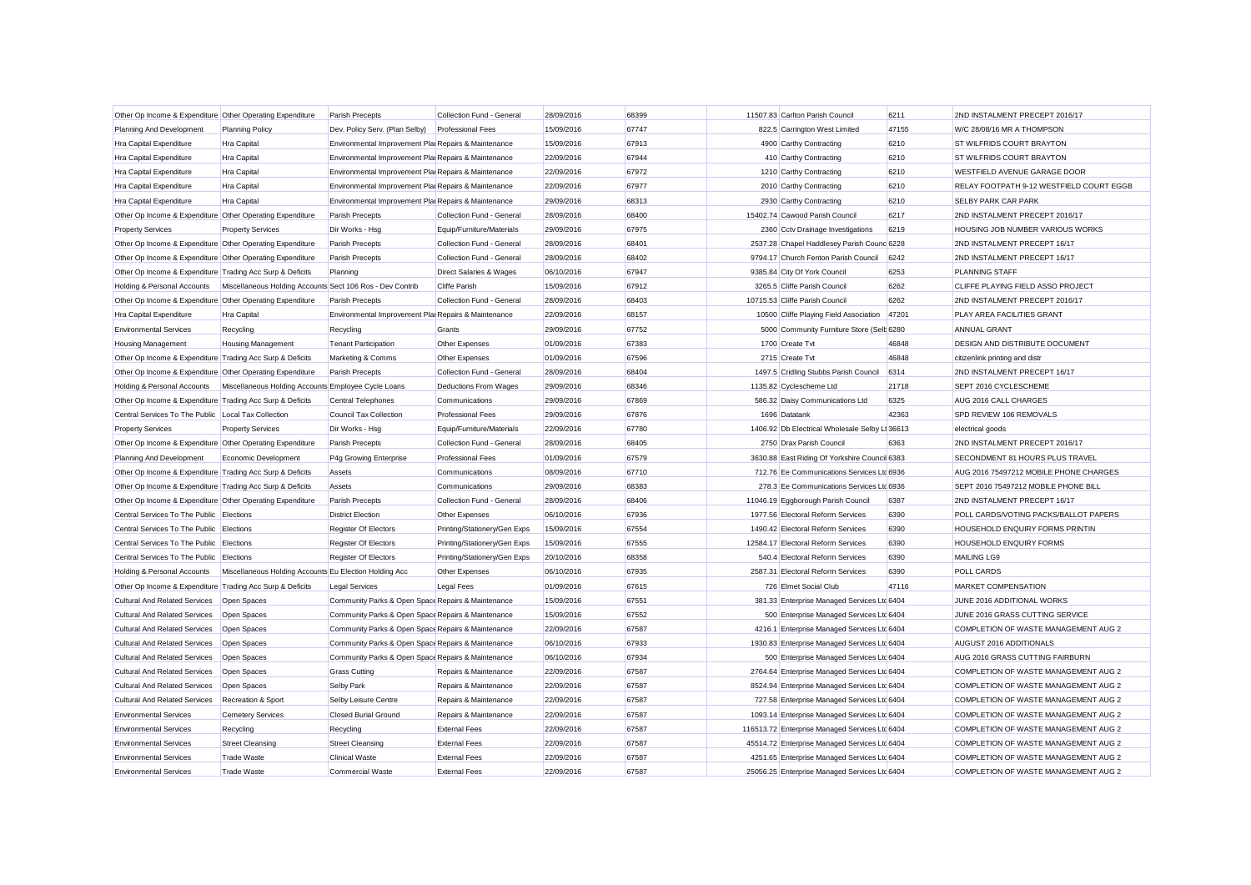| Other Op Income & Expenditure Other Operating Expenditure |                                                           | Parish Precepts                                      | Collection Fund - General          | 28/09/2016 | 68399 | 11507.83 Carlton Parish Council                | 6211  | 2ND INSTALMENT PRECEPT 2016/17           |
|-----------------------------------------------------------|-----------------------------------------------------------|------------------------------------------------------|------------------------------------|------------|-------|------------------------------------------------|-------|------------------------------------------|
| Planning And Development                                  | <b>Planning Policy</b>                                    | Dev. Policy Serv. (Plan Selby)                       | <b>Professional Fees</b>           | 15/09/2016 | 67747 | 822.5 Carrington West Limited                  | 47155 | W/C 28/08/16 MR A THOMPSON               |
| Hra Capital Expenditure                                   | Hra Capital                                               | Environmental Improvement Plai Repairs & Maintenance |                                    | 15/09/2016 | 67913 | 4900 Carthy Contracting                        | 6210  | ST WILFRIDS COURT BRAYTON                |
| Hra Capital Expenditure                                   | Hra Capital                                               | Environmental Improvement Plai Repairs & Maintenance |                                    | 22/09/2016 | 67944 | 410 Carthy Contracting                         | 6210  | <b>ST WILFRIDS COURT BRAYTON</b>         |
| Hra Capital Expenditure                                   | Hra Capital                                               | Environmental Improvement Plai Repairs & Maintenance |                                    | 22/09/2016 | 67972 | 1210 Carthy Contracting                        | 6210  | WESTFIELD AVENUE GARAGE DOOR             |
| Hra Capital Expenditure                                   | Hra Capital                                               | Environmental Improvement Plai Repairs & Maintenance |                                    | 22/09/2016 | 67977 | 2010 Carthy Contracting                        | 6210  | RELAY FOOTPATH 9-12 WESTFIELD COURT EGGB |
| Hra Capital Expenditure                                   | <b>Hra Capital</b>                                        | Environmental Improvement Plai Repairs & Maintenance |                                    | 29/09/2016 | 68313 | 2930 Carthy Contracting                        | 6210  | <b>SELBY PARK CAR PARK</b>               |
| Other Op Income & Expenditure Other Operating Expenditure |                                                           | Parish Precepts                                      | Collection Fund - General          | 28/09/2016 | 68400 | 15402.74 Cawood Parish Council                 | 6217  | 2ND INSTALMENT PRECEPT 2016/17           |
| <b>Property Services</b>                                  | <b>Property Services</b>                                  | Dir Works - Hsg                                      | Equip/Furniture/Materials          | 29/09/2016 | 67975 | 2360 Cctv Drainage Investigations              | 6219  | HOUSING JOB NUMBER VARIOUS WORKS         |
| Other Op Income & Expenditure Other Operating Expenditure |                                                           | Parish Precepts                                      | Collection Fund - General          | 28/09/2016 | 68401 | 2537.28 Chapel Haddlesey Parish Counc 6228     |       | 2ND INSTALMENT PRECEPT 16/17             |
| Other Op Income & Expenditure Other Operating Expenditure |                                                           | Parish Precepts                                      | Collection Fund - General          | 28/09/2016 | 68402 | 9794.17 Church Fenton Parish Council           | 6242  | 2ND INSTALMENT PRECEPT 16/17             |
| Other Op Income & Expenditure Trading Acc Surp & Deficits |                                                           | Planning                                             | <b>Direct Salaries &amp; Wages</b> | 06/10/2016 | 67947 | 9385.84 City Of York Council                   | 6253  | <b>PLANNING STAFF</b>                    |
| Holding & Personal Accounts                               | Miscellaneous Holding Accounts Sect 106 Ros - Dev Contrib |                                                      | <b>Cliffe Parish</b>               | 15/09/2016 | 67912 | 3265.5 Cliffe Parish Council                   | 6262  | CLIFFE PLAYING FIELD ASSO PROJECT        |
| Other Op Income & Expenditure Other Operating Expenditure |                                                           | <b>Parish Precepts</b>                               | Collection Fund - General          | 28/09/2016 | 68403 | 10715.53 Cliffe Parish Council                 | 6262  | 2ND INSTALMENT PRECEPT 2016/17           |
| Hra Capital Expenditure                                   | <b>Hra Capital</b>                                        | Environmental Improvement Plai Repairs & Maintenance |                                    | 22/09/2016 | 68157 | 10500 Cliffe Playing Field Association         | 47201 | PLAY AREA FACILITIES GRANT               |
| <b>Environmental Services</b>                             | Recycling                                                 | Recycling                                            | Grants                             | 29/09/2016 | 67752 | 5000 Community Furniture Store (Selt 6280      |       | <b>ANNUAL GRANT</b>                      |
| <b>Housing Management</b>                                 | <b>Housing Management</b>                                 | <b>Tenant Participation</b>                          | Other Expenses                     | 01/09/2016 | 67383 | 1700 Create Tvt                                | 46848 | <b>DESIGN AND DISTRIBUTE DOCUMENT</b>    |
| Other Op Income & Expenditure Trading Acc Surp & Deficits |                                                           | Marketing & Comms                                    | Other Expenses                     | 01/09/2016 | 67596 | 2715 Create Tvt                                | 46848 | citizenlink printing and distr           |
| Other Op Income & Expenditure Other Operating Expenditure |                                                           | Parish Precepts                                      | Collection Fund - General          | 28/09/2016 | 68404 | 1497.5 Cridling Stubbs Parish Council          | 6314  | 2ND INSTALMENT PRECEPT 16/17             |
| Holding & Personal Accounts                               | Miscellaneous Holding Accounts Employee Cycle Loans       |                                                      | Deductions From Wages              | 29/09/2016 | 68346 | 1135.82 Cyclescheme Ltd                        | 21718 | SEPT 2016 CYCLESCHEME                    |
| Other Op Income & Expenditure Trading Acc Surp & Deficits |                                                           | Central Telephones                                   | Communications                     | 29/09/2016 | 67869 | 586.32 Daisy Communications Ltd                | 6325  | AUG 2016 CALL CHARGES                    |
| Central Services To The Public Local Tax Collection       |                                                           | Council Tax Collection                               | <b>Professional Fees</b>           | 29/09/2016 | 67876 | 1696 Datatank                                  | 42363 | SPD REVIEW 106 REMOVALS                  |
| <b>Property Services</b>                                  | <b>Property Services</b>                                  | Dir Works - Hsg                                      | Equip/Furniture/Materials          | 22/09/2016 | 67780 | 1406.92 Db Electrical Wholesale Selby Li 36613 |       | electrical goods                         |
| Other Op Income & Expenditure Other Operating Expenditure |                                                           | Parish Precepts                                      | Collection Fund - General          | 28/09/2016 | 68405 | 2750 Drax Parish Council                       | 6363  | 2ND INSTALMENT PRECEPT 2016/17           |
| Planning And Development                                  | Economic Development                                      | P4g Growing Enterprise                               | <b>Professional Fees</b>           | 01/09/2016 | 67579 | 3630.88 East Riding Of Yorkshire Council 6383  |       | SECONDMENT 81 HOURS PLUS TRAVEL          |
| Other Op Income & Expenditure Trading Acc Surp & Deficits |                                                           | Assets                                               | Communications                     | 08/09/2016 | 67710 | 712.76 Ee Communications Services Ltd 6936     |       | AUG 2016 75497212 MOBILE PHONE CHARGES   |
| Other Op Income & Expenditure Trading Acc Surp & Deficits |                                                           | Assets                                               | Communications                     | 29/09/2016 | 68383 | 278.3 Ee Communications Services Ltd 6936      |       | SEPT 2016 75497212 MOBILE PHONE BILL     |
| Other Op Income & Expenditure Other Operating Expenditure |                                                           | Parish Precepts                                      | Collection Fund - General          | 28/09/2016 | 68406 | 11046.19 Eggborough Parish Council             | 6387  | 2ND INSTALMENT PRECEPT 16/17             |
| Central Services To The Public Elections                  |                                                           | <b>District Election</b>                             | Other Expenses                     | 06/10/2016 | 67936 | 1977.56 Electoral Reform Services              | 6390  | POLL CARDS/VOTING PACKS/BALLOT PAPERS    |
| Central Services To The Public Elections                  |                                                           | Register Of Electors                                 | Printing/Stationery/Gen Exps       | 15/09/2016 | 67554 | 1490.42 Electoral Reform Services              | 6390  | HOUSEHOLD ENQUIRY FORMS PRINTIN          |
| Central Services To The Public Elections                  |                                                           | <b>Register Of Electors</b>                          | Printing/Stationery/Gen Exps       | 15/09/2016 | 67555 | 12584.17 Electoral Reform Services             | 6390  | HOUSEHOLD ENQUIRY FORMS                  |
| Central Services To The Public Elections                  |                                                           | <b>Register Of Electors</b>                          | Printing/Stationery/Gen Exps       | 20/10/2016 | 68358 | 540.4 Electoral Reform Services                | 6390  | <b>MAILING LG9</b>                       |
| Holding & Personal Accounts                               | Miscellaneous Holding Accounts Eu Election Holding Acc    |                                                      | Other Expenses                     | 06/10/2016 | 67935 | 2587.31 Electoral Reform Services              | 6390  | <b>POLL CARDS</b>                        |
| Other Op Income & Expenditure Trading Acc Surp & Deficits |                                                           | Legal Services                                       | Legal Fees                         | 01/09/2016 | 67615 | 726 Elmet Social Club                          | 47116 | MARKET COMPENSATION                      |
| <b>Cultural And Related Services</b>                      | Open Spaces                                               | Community Parks & Open Space Repairs & Maintenance   |                                    | 15/09/2016 | 67551 | 381.33 Enterprise Managed Services Ltd 6404    |       | JUNE 2016 ADDITIONAL WORKS               |
| <b>Cultural And Related Services</b>                      | Open Spaces                                               | Community Parks & Open Space Repairs & Maintenance   |                                    | 15/09/2016 | 67552 | 500 Enterprise Managed Services Ltd 6404       |       | JUNE 2016 GRASS CUTTING SERVICE          |
| Cultural And Related Services                             | Open Spaces                                               | Community Parks & Open Space Repairs & Maintenance   |                                    | 22/09/2016 | 67587 | 4216.1 Enterprise Managed Services Ltc 6404    |       | COMPLETION OF WASTE MANAGEMENT AUG 2     |
| <b>Cultural And Related Services</b>                      | Open Spaces                                               | Community Parks & Open Space Repairs & Maintenance   |                                    | 06/10/2016 | 67933 | 1930.83 Enterprise Managed Services Ltc 6404   |       | AUGUST 2016 ADDITIONALS                  |
| Cultural And Related Services                             | Open Spaces                                               | Community Parks & Open Space Repairs & Maintenance   |                                    | 06/10/2016 | 67934 | 500 Enterprise Managed Services Ltd 6404       |       | AUG 2016 GRASS CUTTING FAIRBURN          |
| <b>Cultural And Related Services</b>                      | Open Spaces                                               | <b>Grass Cutting</b>                                 | Repairs & Maintenance              | 22/09/2016 | 67587 | 2764.64 Enterprise Managed Services Ltd 6404   |       | COMPLETION OF WASTE MANAGEMENT AUG 2     |
| <b>Cultural And Related Services</b>                      | Open Spaces                                               | Selby Park                                           | Repairs & Maintenance              | 22/09/2016 | 67587 | 8524.94 Enterprise Managed Services Ltc 6404   |       | COMPLETION OF WASTE MANAGEMENT AUG 2     |
| <b>Cultural And Related Services</b>                      | Recreation & Sport                                        | Selby Leisure Centre                                 | Repairs & Maintenance              | 22/09/2016 | 67587 | 727.58 Enterprise Managed Services Ltc 6404    |       | COMPLETION OF WASTE MANAGEMENT AUG 2     |
| <b>Environmental Services</b>                             | <b>Cemetery Services</b>                                  | <b>Closed Burial Ground</b>                          | Repairs & Maintenance              | 22/09/2016 | 67587 | 1093.14 Enterprise Managed Services Ltd 6404   |       | COMPLETION OF WASTE MANAGEMENT AUG 2     |
| <b>Environmental Services</b>                             | Recycling                                                 | Recycling                                            | <b>External Fees</b>               | 22/09/2016 | 67587 | 116513.72 Enterprise Managed Services Ltd 6404 |       | COMPLETION OF WASTE MANAGEMENT AUG 2     |
| <b>Environmental Services</b>                             | <b>Street Cleansing</b>                                   | <b>Street Cleansing</b>                              | <b>External Fees</b>               | 22/09/2016 | 67587 | 45514.72 Enterprise Managed Services Ltd 6404  |       | COMPLETION OF WASTE MANAGEMENT AUG 2     |
| <b>Environmental Services</b>                             | Trade Waste                                               | <b>Clinical Waste</b>                                | <b>External Fees</b>               | 22/09/2016 | 67587 | 4251.65 Enterprise Managed Services Ltd 6404   |       | COMPLETION OF WASTE MANAGEMENT AUG 2     |
| <b>Environmental Services</b>                             | Trade Waste                                               | Commercial Waste                                     | <b>External Fees</b>               | 22/09/2016 | 67587 | 25056.25 Enterprise Managed Services Ltd 6404  |       | COMPLETION OF WASTE MANAGEMENT AUG 2     |
|                                                           |                                                           |                                                      |                                    |            |       |                                                |       |                                          |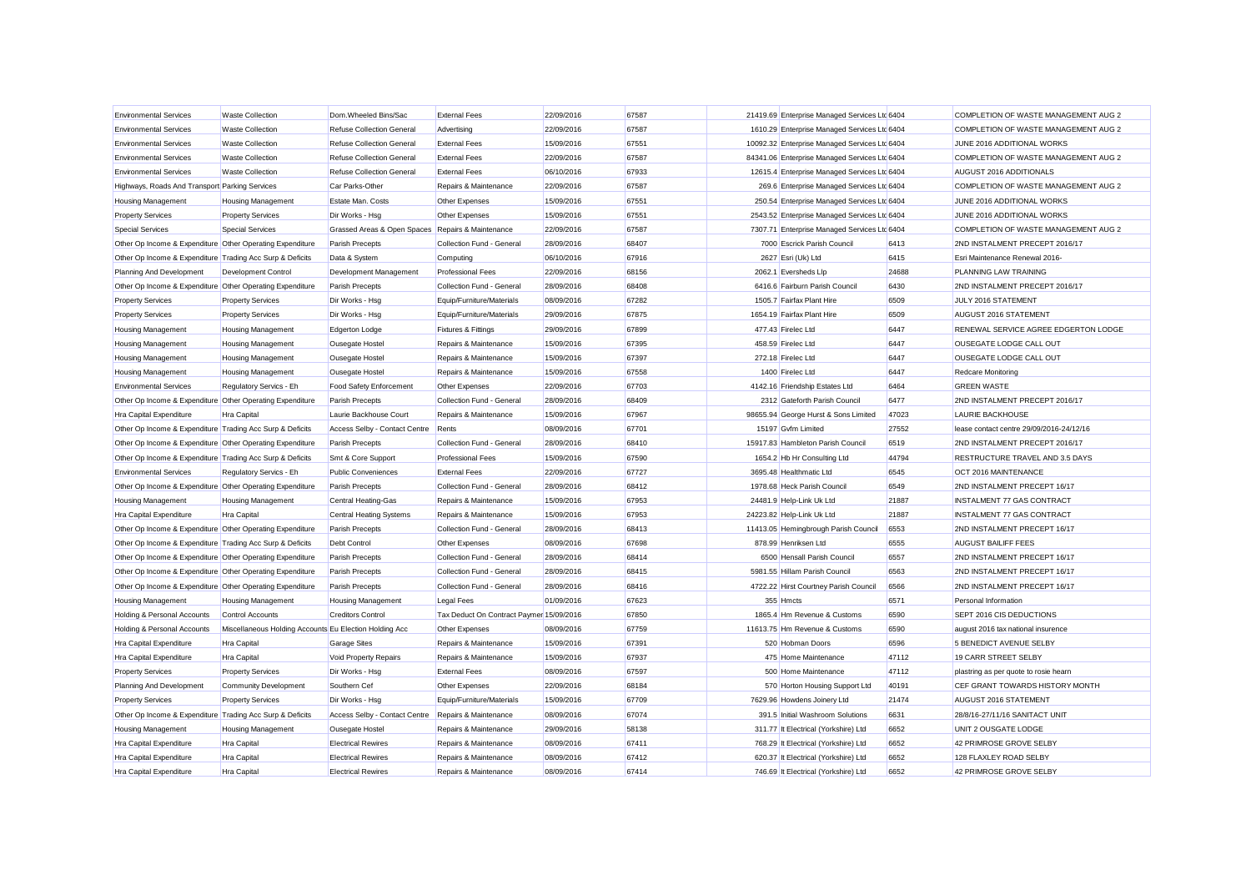| <b>Environmental Services</b>                             | <b>Waste Collection</b>                                | Dom.Wheeled Bins/Sac                              | <b>External Fees</b>                     | 22/09/2016 | 67587 | 21419.69 Enterprise Managed Services Ltd 6404 |       | COMPLETION OF WASTE MANAGEMENT AUG 2     |
|-----------------------------------------------------------|--------------------------------------------------------|---------------------------------------------------|------------------------------------------|------------|-------|-----------------------------------------------|-------|------------------------------------------|
| <b>Environmental Services</b>                             | <b>Waste Collection</b>                                | <b>Refuse Collection General</b>                  | Advertising                              | 22/09/2016 | 67587 | 1610.29 Enterprise Managed Services Ltd 6404  |       | COMPLETION OF WASTE MANAGEMENT AUG 2     |
| <b>Environmental Services</b>                             | <b>Waste Collection</b>                                | <b>Refuse Collection General</b>                  | <b>External Fees</b>                     | 15/09/2016 | 67551 | 10092.32 Enterprise Managed Services Ltd 6404 |       | JUNE 2016 ADDITIONAL WORKS               |
| <b>Environmental Services</b>                             | <b>Waste Collection</b>                                | <b>Refuse Collection General</b>                  | <b>External Fees</b>                     | 22/09/2016 | 67587 | 84341.06 Enterprise Managed Services Ltd 6404 |       | COMPLETION OF WASTE MANAGEMENT AUG 2     |
| <b>Environmental Services</b>                             | <b>Waste Collection</b>                                | Refuse Collection General                         | <b>External Fees</b>                     | 06/10/2016 | 67933 | 12615.4 Enterprise Managed Services Ltc 6404  |       | AUGUST 2016 ADDITIONALS                  |
| Highways, Roads And Transport Parking Services            |                                                        | Car Parks-Other                                   | Repairs & Maintenance                    | 22/09/2016 | 67587 | 269.6 Enterprise Managed Services Ltd 6404    |       | COMPLETION OF WASTE MANAGEMENT AUG 2     |
| <b>Housing Management</b>                                 | <b>Housing Management</b>                              | Estate Man, Costs                                 | Other Expenses                           | 15/09/2016 | 67551 | 250.54 Enterprise Managed Services Ltd 6404   |       | JUNE 2016 ADDITIONAL WORKS               |
| <b>Property Services</b>                                  | <b>Property Services</b>                               | Dir Works - Hsg                                   | Other Expenses                           | 15/09/2016 | 67551 | 2543.52 Enterprise Managed Services Ltd 6404  |       | JUNE 2016 ADDITIONAL WORKS               |
| <b>Special Services</b>                                   | <b>Special Services</b>                                | Grassed Areas & Open Spaces Repairs & Maintenance |                                          | 22/09/2016 | 67587 | 7307.71 Enterprise Managed Services Ltd 6404  |       | COMPLETION OF WASTE MANAGEMENT AUG 2     |
| Other Op Income & Expenditure Other Operating Expenditure |                                                        | Parish Precepts                                   | Collection Fund - General                | 28/09/2016 | 68407 | 7000 Escrick Parish Council                   | 6413  | 2ND INSTALMENT PRECEPT 2016/17           |
| Other Op Income & Expenditure Trading Acc Surp & Deficits |                                                        | Data & System                                     | Computing                                | 06/10/2016 | 67916 | 2627 Esri (Uk) Ltd                            | 6415  | Esri Maintenance Renewal 2016-           |
| Planning And Development                                  | <b>Development Control</b>                             | Development Management                            | <b>Professional Fees</b>                 | 22/09/2016 | 68156 | 2062.1 Eversheds Lip                          | 24688 | PLANNING LAW TRAINING                    |
| Other Op Income & Expenditure Other Operating Expenditure |                                                        | Parish Precepts                                   | Collection Fund - General                | 28/09/2016 | 68408 | 6416.6 Fairburn Parish Council                | 6430  | 2ND INSTALMENT PRECEPT 2016/17           |
| <b>Property Services</b>                                  | <b>Property Services</b>                               | Dir Works - Hsg                                   | Equip/Furniture/Materials                | 08/09/2016 | 67282 | 1505.7 Fairfax Plant Hire                     | 6509  | JULY 2016 STATEMENT                      |
| <b>Property Services</b>                                  | <b>Property Services</b>                               | Dir Works - Hsg                                   | Equip/Furniture/Materials                | 29/09/2016 | 67875 | 1654.19 Fairfax Plant Hire                    | 6509  | AUGUST 2016 STATEMENT                    |
| <b>Housing Management</b>                                 | <b>Housing Management</b>                              | <b>Edgerton Lodge</b>                             | <b>Fixtures &amp; Fittings</b>           | 29/09/2016 | 67899 | 477.43 Firelec Ltd                            | 6447  | RENEWAL SERVICE AGREE EDGERTON LODGE     |
| <b>Housing Management</b>                                 | <b>Housing Management</b>                              | Ousegate Hostel                                   | Repairs & Maintenance                    | 15/09/2016 | 67395 | 458.59 Firelec Ltd                            | 6447  | OUSEGATE LODGE CALL OUT                  |
| <b>Housing Management</b>                                 | <b>Housing Management</b>                              | Ousegate Hostel                                   | Repairs & Maintenance                    | 15/09/2016 | 67397 | 272.18 Firelec Ltd                            | 6447  | OUSEGATE LODGE CALL OUT                  |
| <b>Housing Management</b>                                 | <b>Housing Management</b>                              | Ousegate Hostel                                   | Repairs & Maintenance                    | 15/09/2016 | 67558 | 1400 Firelec Ltd                              | 6447  | Redcare Monitoring                       |
| <b>Environmental Services</b>                             | Regulatory Servics - Eh                                | <b>Food Safety Enforcement</b>                    | Other Expenses                           | 22/09/2016 | 67703 | 4142.16 Friendship Estates Ltd                | 6464  | <b>GREEN WASTE</b>                       |
| Other Op Income & Expenditure Other Operating Expenditure |                                                        | Parish Precepts                                   | Collection Fund - General                | 28/09/2016 | 68409 | 2312 Gateforth Parish Council                 | 6477  | 2ND INSTALMENT PRECEPT 2016/17           |
| Hra Capital Expenditure                                   | <b>Hra Capital</b>                                     | Laurie Backhouse Court                            | Repairs & Maintenance                    | 15/09/2016 | 67967 | 98655.94 George Hurst & Sons Limited          | 47023 | <b>LAURIE BACKHOUSE</b>                  |
| Other Op Income & Expenditure Trading Acc Surp & Deficits |                                                        | Access Selby - Contact Centre                     | Rents                                    | 08/09/2016 | 67701 | 15197 Gyfm Limited                            | 27552 | lease contact centre 29/09/2016-24/12/16 |
| Other Op Income & Expenditure Other Operating Expenditure |                                                        | Parish Precepts                                   | Collection Fund - General                | 28/09/2016 | 68410 | 15917.83 Hambleton Parish Council             | 6519  | 2ND INSTALMENT PRECEPT 2016/17           |
| Other Op Income & Expenditure Trading Acc Surp & Deficits |                                                        | Smt & Core Support                                | <b>Professional Fees</b>                 | 15/09/2016 | 67590 | 1654.2 Hb Hr Consulting Ltd                   | 44794 | RESTRUCTURE TRAVEL AND 3.5 DAYS          |
| <b>Environmental Services</b>                             | Regulatory Servics - Eh                                | <b>Public Conveniences</b>                        | <b>External Fees</b>                     | 22/09/2016 | 67727 | 3695.48 Healthmatic Ltd                       | 6545  | OCT 2016 MAINTENANCE                     |
| Other Op Income & Expenditure Other Operating Expenditure |                                                        | Parish Precepts                                   | Collection Fund - General                | 28/09/2016 | 68412 | 1978.68 Heck Parish Council                   | 6549  | 2ND INSTALMENT PRECEPT 16/17             |
| <b>Housing Management</b>                                 | <b>Housing Management</b>                              | Central Heating-Gas                               | Repairs & Maintenance                    | 15/09/2016 | 67953 | 24481.9 Help-Link Uk Ltd                      | 21887 | INSTALMENT 77 GAS CONTRACT               |
| Hra Capital Expenditure                                   | <b>Hra Capital</b>                                     | <b>Central Heating Systems</b>                    | Repairs & Maintenance                    | 15/09/2016 | 67953 | 24223.82 Help-Link Uk Ltd                     | 21887 | INSTALMENT 77 GAS CONTRACT               |
| Other Op Income & Expenditure Other Operating Expenditure |                                                        | Parish Precepts                                   | Collection Fund - General                | 28/09/2016 | 68413 | 11413.05 Hemingbrough Parish Council          | 6553  | 2ND INSTALMENT PRECEPT 16/17             |
| Other Op Income & Expenditure Trading Acc Surp & Deficits |                                                        | Debt Control                                      | Other Expenses                           | 08/09/2016 | 67698 | 878.99 Henriksen Ltd                          | 6555  | <b>AUGUST BAILIFF FEES</b>               |
| Other Op Income & Expenditure Other Operating Expenditure |                                                        | <b>Parish Precepts</b>                            | Collection Fund - General                | 28/09/2016 | 68414 | 6500 Hensall Parish Council                   | 6557  | 2ND INSTALMENT PRECEPT 16/17             |
| Other Op Income & Expenditure Other Operating Expenditure |                                                        | Parish Precepts                                   | Collection Fund - General                | 28/09/2016 | 68415 | 5981.55 Hillam Parish Council                 | 6563  | 2ND INSTALMENT PRECEPT 16/17             |
| Other Op Income & Expenditure Other Operating Expenditure |                                                        | Parish Precepts                                   | Collection Fund - General                | 28/09/2016 | 68416 | 4722.22 Hirst Courtney Parish Council         | 6566  | 2ND INSTALMENT PRECEPT 16/17             |
| <b>Housing Management</b>                                 | <b>Housing Management</b>                              | <b>Housing Management</b>                         | <b>Legal Fees</b>                        | 01/09/2016 | 67623 | 355 Hmcts                                     | 6571  | Personal Information                     |
| Holding & Personal Accounts                               | <b>Control Accounts</b>                                | <b>Creditors Control</b>                          | Tax Deduct On Contract Paymer 15/09/2016 |            | 67850 | 1865.4 Hm Revenue & Customs                   | 6590  | SEPT 2016 CIS DEDUCTIONS                 |
| Holding & Personal Accounts                               | Miscellaneous Holding Accounts Eu Election Holding Acc |                                                   | Other Expenses                           | 08/09/2016 | 67759 | 11613.75 Hm Revenue & Customs                 | 6590  | august 2016 tax national insurence       |
| Hra Capital Expenditure                                   | Hra Capital                                            | <b>Garage Sites</b>                               | Repairs & Maintenance                    | 15/09/2016 | 67391 | 520 Hobman Doors                              | 6596  | 5 BENEDICT AVENUE SELBY                  |
| Hra Capital Expenditure                                   | <b>Hra Capital</b>                                     | Void Property Repairs                             | Repairs & Maintenance                    | 15/09/2016 | 67937 | 475 Home Maintenance                          | 47112 | 19 CARR STREET SELBY                     |
| <b>Property Services</b>                                  | <b>Property Services</b>                               | Dir Works - Hsg                                   | <b>External Fees</b>                     | 08/09/2016 | 67597 | 500 Home Maintenance                          | 47112 | plastring as per quote to rosie hearn    |
| Planning And Development                                  | Community Development                                  | Southern Cef                                      | Other Expenses                           | 22/09/2016 | 68184 | 570 Horton Housing Support Ltd                | 40191 | CEF GRANT TOWARDS HISTORY MONTH          |
| <b>Property Services</b>                                  | <b>Property Services</b>                               | Dir Works - Hsg                                   | Equip/Furniture/Materials                | 15/09/2016 | 67709 | 7629.96 Howdens Joinery Ltd                   | 21474 | AUGUST 2016 STATEMENT                    |
| Other Op Income & Expenditure Trading Acc Surp & Deficits |                                                        | Access Selby - Contact Centre                     | Repairs & Maintenance                    | 08/09/2016 | 67074 | 391.5 Initial Washroom Solutions              | 6631  | 28/8/16-27/11/16 SANITACT UNIT           |
| <b>Housing Management</b>                                 | <b>Housing Management</b>                              | Ousegate Hostel                                   | Repairs & Maintenance                    | 29/09/2016 | 58138 | 311.77 It Electrical (Yorkshire) Ltd          | 6652  | UNIT 2 OUSGATE LODGE                     |
| Hra Capital Expenditure                                   | <b>Hra Capital</b>                                     | <b>Electrical Rewires</b>                         | Repairs & Maintenance                    | 08/09/2016 | 67411 | 768.29 It Electrical (Yorkshire) Ltd          | 6652  | 42 PRIMROSE GROVE SELBY                  |
| Hra Capital Expenditure                                   | <b>Hra Capital</b>                                     | <b>Electrical Rewires</b>                         | Repairs & Maintenance                    | 08/09/2016 | 67412 | 620.37 It Electrical (Yorkshire) Ltd          | 6652  | 128 FLAXLEY ROAD SELBY                   |
| <b>Hra Capital Expenditure</b>                            | <b>Hra Capital</b>                                     | <b>Electrical Rewires</b>                         | Repairs & Maintenance                    | 08/09/2016 | 67414 | 746.69 It Electrical (Yorkshire) Ltd          | 6652  | 42 PRIMROSE GROVE SELBY                  |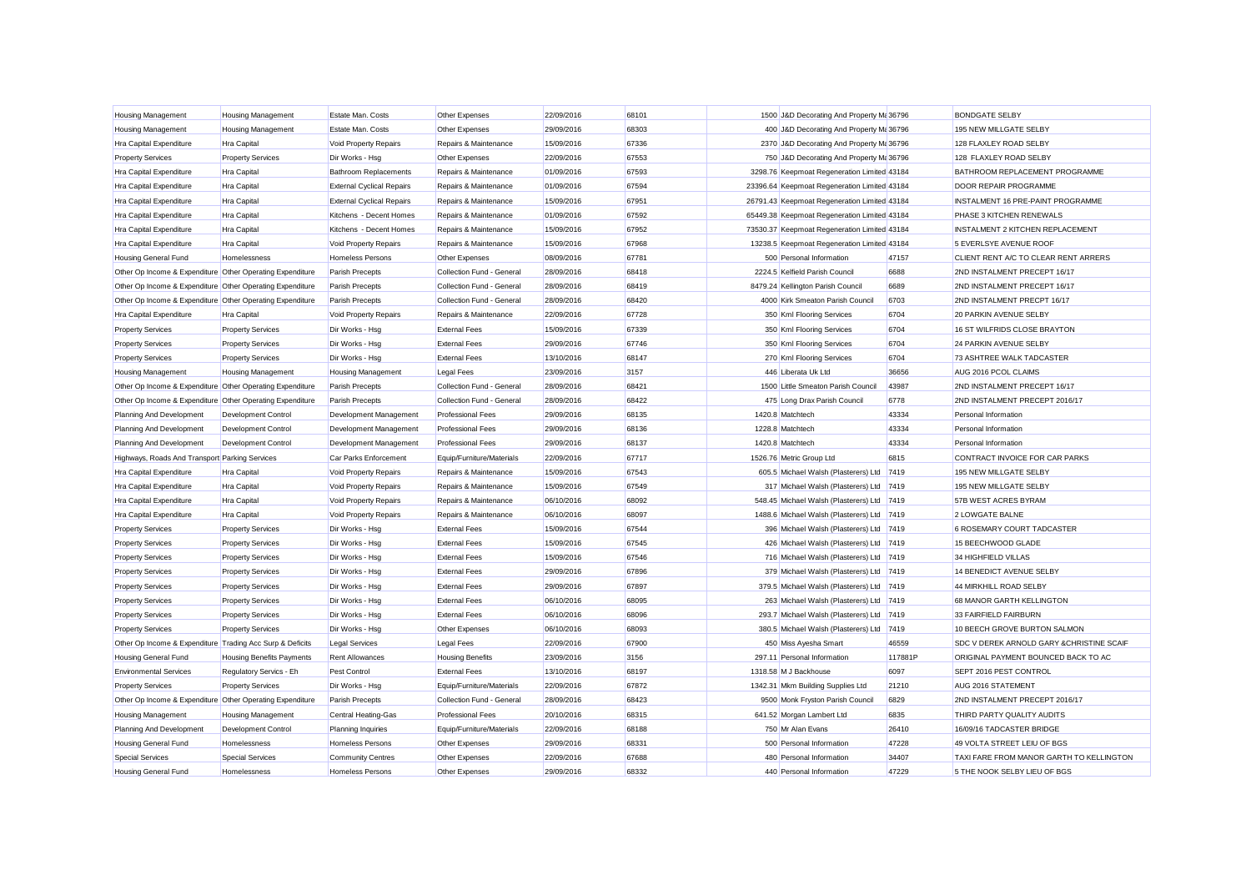| <b>Housing Management</b>                                 | Housing Management        | Estate Man. Costs                | Other Expenses            | 22/09/2016 | 68101 | 1500 J&D Decorating And Property Ma 36796    |         | <b>BONDGATE SELBY</b>                     |
|-----------------------------------------------------------|---------------------------|----------------------------------|---------------------------|------------|-------|----------------------------------------------|---------|-------------------------------------------|
| <b>Housing Management</b>                                 | <b>Housing Management</b> | Estate Man, Costs                | Other Expenses            | 29/09/2016 | 68303 | 400 J&D Decorating And Property Ma 36796     |         | 195 NEW MILLGATE SELBY                    |
| Hra Capital Expenditure                                   | <b>Hra Capital</b>        | Void Property Repairs            | Repairs & Maintenance     | 15/09/2016 | 67336 | 2370 J&D Decorating And Property M: 36796    |         | 128 FLAXLEY ROAD SELBY                    |
| <b>Property Services</b>                                  | <b>Property Services</b>  | Dir Works - Hsg                  | Other Expenses            | 22/09/2016 | 67553 | 750 J&D Decorating And Property Ma 36796     |         | 128 FLAXLEY ROAD SELBY                    |
| Hra Capital Expenditure                                   | <b>Hra Capital</b>        | <b>Bathroom Replacements</b>     | Repairs & Maintenance     | 01/09/2016 | 67593 | 3298.76 Keepmoat Regeneration Limited 43184  |         | BATHROOM REPLACEMENT PROGRAMME            |
| Hra Capital Expenditure                                   | <b>Hra Capital</b>        | <b>External Cyclical Repairs</b> | Repairs & Maintenance     | 01/09/2016 | 67594 | 23396.64 Keepmoat Regeneration Limited 43184 |         | DOOR REPAIR PROGRAMME                     |
| Hra Capital Expenditure                                   | Hra Capital               | <b>External Cyclical Repairs</b> | Repairs & Maintenance     | 15/09/2016 | 67951 | 26791.43 Keepmoat Regeneration Limited 43184 |         | INSTALMENT 16 PRE-PAINT PROGRAMME         |
| Hra Capital Expenditure                                   | Hra Capital               | Kitchens - Decent Homes          | Repairs & Maintenance     | 01/09/2016 | 67592 | 65449.38 Keepmoat Regeneration Limited 43184 |         | PHASE 3 KITCHEN RENEWALS                  |
| <b>Hra Capital Expenditure</b>                            | <b>Hra Capital</b>        | Kitchens - Decent Homes          | Repairs & Maintenance     | 15/09/2016 | 67952 | 73530.37 Keepmoat Regeneration Limited 43184 |         | <b>INSTALMENT 2 KITCHEN REPLACEMENT</b>   |
| <b>Hra Capital Expenditure</b>                            | <b>Hra Capital</b>        | Void Property Repairs            | Repairs & Maintenance     | 15/09/2016 | 67968 | 13238.5 Keepmoat Regeneration Limited 43184  |         | 5 EVERLSYE AVENUE ROOF                    |
| <b>Housing General Fund</b>                               | Homelessness              | Homeless Persons                 | Other Expenses            | 08/09/2016 | 67781 | 500 Personal Information                     | 47157   | CLIENT RENT A/C TO CLEAR RENT ARRERS      |
| Other Op Income & Expenditure Other Operating Expenditure |                           | Parish Precepts                  | Collection Fund - General | 28/09/2016 | 68418 | 2224.5 Kelfield Parish Council               | 6688    | 2ND INSTALMENT PRECEPT 16/17              |
| Other Op Income & Expenditure Other Operating Expenditure |                           | Parish Precepts                  | Collection Fund - General | 28/09/2016 | 68419 | 8479.24 Kellington Parish Council            | 6689    | 2ND INSTALMENT PRECEPT 16/17              |
| Other Op Income & Expenditure Other Operating Expenditure |                           | <b>Parish Precepts</b>           | Collection Fund - General | 28/09/2016 | 68420 | 4000 Kirk Smeaton Parish Council             | 6703    | 2ND INSTALMENT PRECPT 16/17               |
| <b>Hra Capital Expenditure</b>                            | <b>Hra Capital</b>        | Void Property Repairs            | Repairs & Maintenance     | 22/09/2016 | 67728 | 350 Kml Flooring Services                    | 6704    | 20 PARKIN AVENUE SELBY                    |
| <b>Property Services</b>                                  | <b>Property Services</b>  | Dir Works - Hsg                  | <b>External Fees</b>      | 15/09/2016 | 67339 | 350 Kml Flooring Services                    | 6704    | 16 ST WILFRIDS CLOSE BRAYTON              |
| <b>Property Services</b>                                  | <b>Property Services</b>  | Dir Works - Hsg                  | <b>External Fees</b>      | 29/09/2016 | 67746 | 350 Kml Flooring Services                    | 6704    | 24 PARKIN AVENUE SELBY                    |
| <b>Property Services</b>                                  | <b>Property Services</b>  | Dir Works - Hsg                  | <b>External Fees</b>      | 13/10/2016 | 68147 | 270 Kml Flooring Services                    | 6704    | 73 ASHTREE WALK TADCASTER                 |
| <b>Housing Management</b>                                 | <b>Housing Management</b> | <b>Housing Management</b>        | <b>Legal Fees</b>         | 23/09/2016 | 3157  | 446 Liberata Uk Ltd                          | 36656   | AUG 2016 PCOL CLAIMS                      |
| Other Op Income & Expenditure Other Operating Expenditure |                           | <b>Parish Precepts</b>           | Collection Fund - General | 28/09/2016 | 68421 | 1500 Little Smeaton Parish Council           | 43987   | 2ND INSTALMENT PRECEPT 16/17              |
| Other Op Income & Expenditure Other Operating Expenditure |                           | Parish Precepts                  | Collection Fund - General | 28/09/2016 | 68422 | 475 Long Drax Parish Council                 | 6778    | 2ND INSTALMENT PRECEPT 2016/17            |
| Planning And Development                                  | Development Control       | Development Management           | <b>Professional Fees</b>  | 29/09/2016 | 68135 | 1420.8 Matchtech                             | 43334   | Personal Information                      |
| Planning And Development                                  | Development Control       | Development Management           | <b>Professional Fees</b>  | 29/09/2016 | 68136 | 1228.8 Matchtech                             | 43334   | Personal Information                      |
| Planning And Development                                  | Development Control       | Development Management           | <b>Professional Fees</b>  | 29/09/2016 | 68137 | 1420.8 Matchtech                             | 43334   | Personal Information                      |
| Highways, Roads And Transport Parking Services            |                           | Car Parks Enforcement            | Equip/Furniture/Materials | 22/09/2016 | 67717 | 1526.76 Metric Group Ltd                     | 6815    | CONTRACT INVOICE FOR CAR PARKS            |
| <b>Hra Capital Expenditure</b>                            | <b>Hra Capital</b>        | <b>Void Property Repairs</b>     | Repairs & Maintenance     | 15/09/2016 | 67543 | 605.5 Michael Walsh (Plasterers) Ltd         | 7419    | 195 NEW MILLGATE SELBY                    |
| Hra Capital Expenditure                                   | Hra Capital               | Void Property Repairs            | Repairs & Maintenance     | 15/09/2016 | 67549 | 317 Michael Walsh (Plasterers) Ltd 7419      |         | 195 NEW MILLGATE SELBY                    |
| Hra Capital Expenditure                                   | <b>Hra Capital</b>        | <b>Void Property Repairs</b>     | Repairs & Maintenance     | 06/10/2016 | 68092 | 548.45 Michael Walsh (Plasterers) Ltd 7419   |         | 57B WEST ACRES BYRAM                      |
| <b>Hra Capital Expenditure</b>                            | <b>Hra Capital</b>        | <b>Void Property Repairs</b>     | Repairs & Maintenance     | 06/10/2016 | 68097 | 1488.6 Michael Walsh (Plasterers) Ltd 7419   |         | 2 LOWGATE BALNE                           |
| <b>Property Services</b>                                  | <b>Property Services</b>  | Dir Works - Hsg                  | <b>External Fees</b>      | 15/09/2016 | 67544 | 396 Michael Walsh (Plasterers) Ltd 7419      |         | <b>6 ROSEMARY COURT TADCASTER</b>         |
| <b>Property Services</b>                                  | <b>Property Services</b>  | Dir Works - Hsg                  | <b>External Fees</b>      | 15/09/2016 | 67545 | 426 Michael Walsh (Plasterers) Ltd 7419      |         | 15 BEECHWOOD GLADE                        |
| <b>Property Services</b>                                  | <b>Property Services</b>  | Dir Works - Hsg                  | <b>External Fees</b>      | 15/09/2016 | 67546 | 716 Michael Walsh (Plasterers) Ltd 7419      |         | 34 HIGHFIELD VILLAS                       |
| <b>Property Services</b>                                  | <b>Property Services</b>  | Dir Works - Hsg                  | <b>External Fees</b>      | 29/09/2016 | 67896 | 379 Michael Walsh (Plasterers) Ltd 7419      |         | 14 BENEDICT AVENUE SELBY                  |
| <b>Property Services</b>                                  | <b>Property Services</b>  | Dir Works - Hsg                  | <b>External Fees</b>      | 29/09/2016 | 67897 | 379.5 Michael Walsh (Plasterers) Ltd 7419    |         | 44 MIRKHILL ROAD SELBY                    |
| <b>Property Services</b>                                  | <b>Property Services</b>  | Dir Works - Hsg                  | <b>External Fees</b>      | 06/10/2016 | 68095 | 263 Michael Walsh (Plasterers) Ltd 7419      |         | 68 MANOR GARTH KELLINGTON                 |
| <b>Property Services</b>                                  | <b>Property Services</b>  | Dir Works - Hsg                  | <b>External Fees</b>      | 06/10/2016 | 68096 | 293.7 Michael Walsh (Plasterers) Ltd 7419    |         | 33 FAIRFIELD FAIRBURN                     |
| <b>Property Services</b>                                  | <b>Property Services</b>  | Dir Works - Hsg                  | Other Expenses            | 06/10/2016 | 68093 | 380.5 Michael Walsh (Plasterers) Ltd 7419    |         | 10 BEECH GROVE BURTON SALMON              |
| Other Op Income & Expenditure Trading Acc Surp & Deficits |                           | <b>Legal Services</b>            | <b>Legal Fees</b>         | 22/09/2016 | 67900 | 450 Miss Ayesha Smart                        | 46559   | SDC V DEREK ARNOLD GARY & CHRISTINE SCAIF |
| <b>Housing General Fund</b>                               | Housing Benefits Payments | <b>Rent Allowances</b>           | <b>Housing Benefits</b>   | 23/09/2016 | 3156  | 297.11 Personal Information                  | 117881P | ORIGINAL PAYMENT BOUNCED BACK TO AC       |
| <b>Environmental Services</b>                             | Regulatory Servics - Eh   | Pest Control                     | <b>External Fees</b>      | 13/10/2016 | 68197 | 1318.58 M J Backhouse                        | 6097    | SEPT 2016 PEST CONTROL                    |
| <b>Property Services</b>                                  | <b>Property Services</b>  | Dir Works - Hsg                  | Equip/Furniture/Materials | 22/09/2016 | 67872 | 1342.31 Mkm Building Supplies Ltd            | 21210   | AUG 2016 STATEMENT                        |
| Other Op Income & Expenditure Other Operating Expenditure |                           | Parish Precepts                  | Collection Fund - General | 28/09/2016 | 68423 | 9500 Monk Fryston Parish Council             | 6829    | 2ND INSTALMENT PRECEPT 2016/17            |
| <b>Housing Management</b>                                 | Housing Management        | Central Heating-Gas              | <b>Professional Fees</b>  | 20/10/2016 | 68315 | 641.52 Morgan Lambert Ltd                    | 6835    | THIRD PARTY QUALITY AUDITS                |
| Planning And Development                                  | Development Control       | <b>Planning Inquiries</b>        | Equip/Furniture/Materials | 22/09/2016 | 68188 | 750 Mr Alan Evans                            | 26410   | 16/09/16 TADCASTER BRIDGE                 |
| <b>Housing General Fund</b>                               | Homelessness              | Homeless Persons                 | Other Expenses            | 29/09/2016 | 68331 | 500 Personal Information                     | 47228   | 49 VOLTA STREET LEIU OF BGS               |
| <b>Special Services</b>                                   | Special Services          | <b>Community Centres</b>         | Other Expenses            | 22/09/2016 | 67688 | 480 Personal Information                     | 34407   | TAXI FARE FROM MANOR GARTH TO KELLINGTON  |
| <b>Housing General Fund</b>                               | Homelessness              | <b>Homeless Persons</b>          | Other Expenses            | 29/09/2016 | 68332 | 440 Personal Information                     | 47229   | 5 THE NOOK SELBY LIFU OF BGS              |
|                                                           |                           |                                  |                           |            |       |                                              |         |                                           |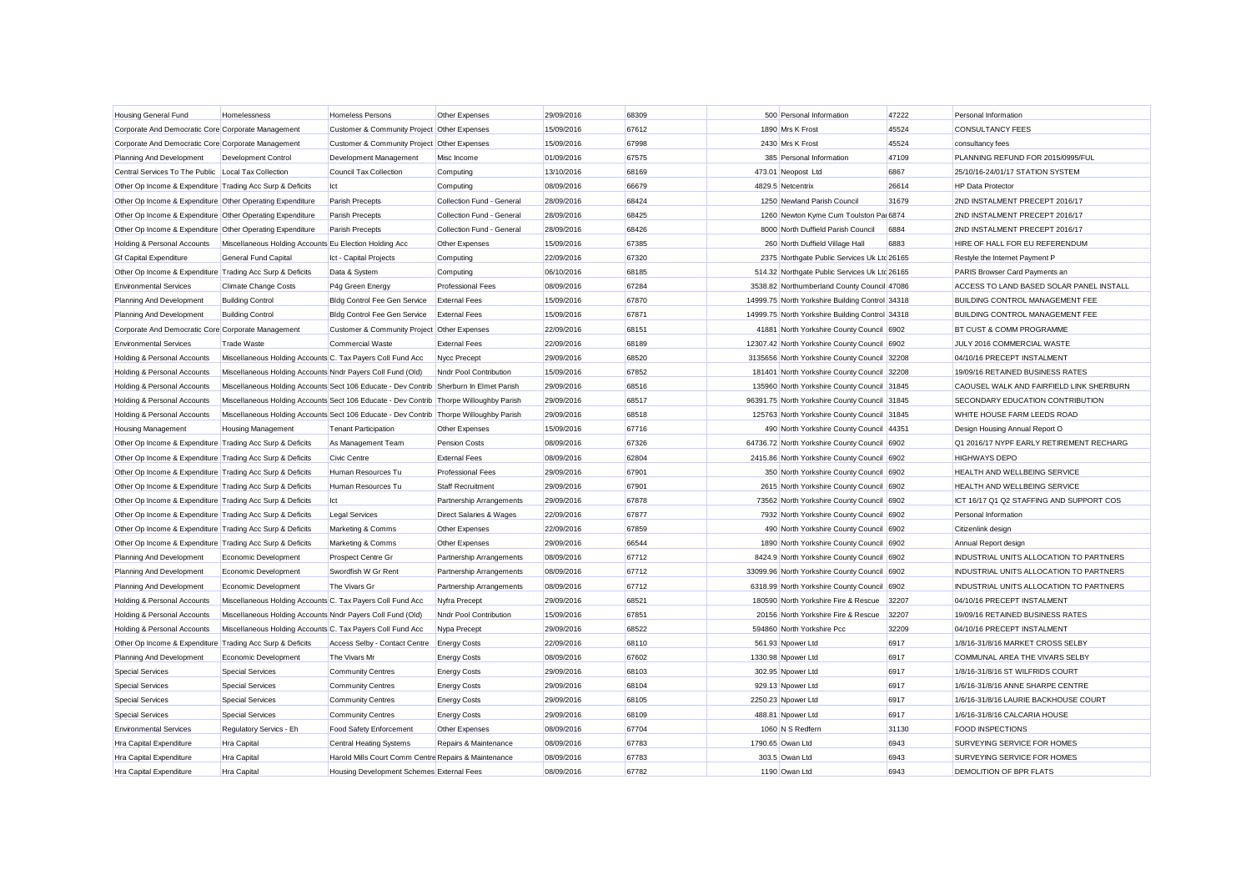| Housing General Fund                                      | Homelessness                                                                           | Homeless Persons                                     | Other Expenses                     | 29/09/2016 | 68309 | 500 Personal Information                        | 47222 | Personal Information                           |
|-----------------------------------------------------------|----------------------------------------------------------------------------------------|------------------------------------------------------|------------------------------------|------------|-------|-------------------------------------------------|-------|------------------------------------------------|
| Corporate And Democratic Core Corporate Management        |                                                                                        | Customer & Community Project Other Expenses          |                                    | 15/09/2016 | 67612 | 1890 Mrs K Frost                                | 45524 | <b>CONSULTANCY FEES</b>                        |
| Corporate And Democratic Core Corporate Management        |                                                                                        | Customer & Community Project Other Expenses          |                                    | 15/09/2016 | 67998 | 2430 Mrs K Frost                                | 45524 | consultancy fees                               |
| Planning And Development                                  | Development Control                                                                    | Development Management                               | Misc Income                        | 01/09/2016 | 67575 | 385 Personal Information                        | 47109 | PLANNING REFUND FOR 2015/0995/FUL              |
| Central Services To The Public Local Tax Collection       |                                                                                        | <b>Council Tax Collection</b>                        | Computing                          | 13/10/2016 | 68169 | 473.01 Neopost Ltd                              | 6867  | 25/10/16-24/01/17 STATION SYSTEM               |
| Other Op Income & Expenditure Trading Acc Surp & Deficits |                                                                                        | Ict                                                  | Computing                          | 08/09/2016 | 66679 | 4829.5 Netcentrix                               | 26614 | <b>HP Data Protector</b>                       |
| Other Op Income & Expenditure Other Operating Expenditure |                                                                                        | Parish Precepts                                      | Collection Fund - General          | 28/09/2016 | 68424 | 1250 Newland Parish Council                     | 31679 | 2ND INSTALMENT PRECEPT 2016/17                 |
| Other Op Income & Expenditure Other Operating Expenditure |                                                                                        | <b>Parish Precepts</b>                               | Collection Fund - General          | 28/09/2016 | 68425 | 1260 Newton Kyme Cum Toulston Pa 6874           |       | 2ND INSTALMENT PRECEPT 2016/17                 |
| Other Op Income & Expenditure Other Operating Expenditure |                                                                                        | <b>Parish Precepts</b>                               | Collection Fund - General          | 28/09/2016 | 68426 | 8000 North Duffield Parish Council              | 6884  | 2ND INSTALMENT PRECEPT 2016/17                 |
| Holding & Personal Accounts                               | Miscellaneous Holding Accounts Eu Election Holding Acc                                 |                                                      | Other Expenses                     | 15/09/2016 | 67385 | 260 North Duffield Village Hall                 | 6883  | HIRE OF HALL FOR EU REFERENDUM                 |
| <b>Gf Capital Expenditure</b>                             | <b>General Fund Capital</b>                                                            | Ict - Capital Projects                               | Computing                          | 22/09/2016 | 67320 | 2375 Northgate Public Services Uk Ltd 26165     |       | Restyle the Internet Payment P                 |
| Other Op Income & Expenditure Trading Acc Surp & Deficits |                                                                                        | Data & System                                        | Computing                          | 06/10/2016 | 68185 | 514.32 Northgate Public Services Uk Ltd 26165   |       | PARIS Browser Card Payments an                 |
| <b>Environmental Services</b>                             | <b>Climate Change Costs</b>                                                            | P4g Green Energy                                     | <b>Professional Fees</b>           | 08/09/2016 | 67284 | 3538.82 Northumberland County Council 47086     |       | ACCESS TO LAND BASED SOLAR PANEL INSTALL       |
| Planning And Development                                  | <b>Building Control</b>                                                                | Bldg Control Fee Gen Service                         | <b>External Fees</b>               | 15/09/2016 | 67870 | 14999.75 North Yorkshire Building Control 34318 |       | <b>BUILDING CONTROL MANAGEMENT FEE</b>         |
| Planning And Development                                  | <b>Building Control</b>                                                                | Bldg Control Fee Gen Service                         | <b>External Fees</b>               | 15/09/2016 | 67871 | 14999.75 North Yorkshire Building Control 34318 |       | BUILDING CONTROL MANAGEMENT FEE                |
| Corporate And Democratic Core Corporate Management        |                                                                                        | Customer & Community Project Other Expenses          |                                    | 22/09/2016 | 68151 | 41881 North Yorkshire County Council 6902       |       | BT CUST & COMM PROGRAMME                       |
| <b>Environmental Services</b>                             | <b>Trade Waste</b>                                                                     | <b>Commercial Waste</b>                              | <b>External Fees</b>               | 22/09/2016 | 68189 | 12307.42 North Yorkshire County Council 6902    |       | JULY 2016 COMMERCIAL WASTE                     |
| Holding & Personal Accounts                               | Miscellaneous Holding Accounts C. Tax Payers Coll Fund Acc                             |                                                      | Nycc Precept                       | 29/09/2016 | 68520 | 3135656 North Yorkshire County Council 32208    |       | 04/10/16 PRECEPT INSTALMENT                    |
| Holding & Personal Accounts                               | Miscellaneous Holding Accounts Nndr Payers Coll Fund (Old)                             |                                                      | Nndr Pool Contribution             | 15/09/2016 | 67852 | 181401 North Yorkshire County Council 32208     |       | 19/09/16 RETAINED BUSINESS RATES               |
| <b>Holding &amp; Personal Accounts</b>                    | Miscellaneous Holding Accounts Sect 106 Educate - Dev Contrib Sherburn In Elmet Parish |                                                      |                                    | 29/09/2016 | 68516 | 135960 North Yorkshire County Council 31845     |       | CAOUSEL WALK AND FAIRFIELD LINK SHERBURN       |
| Holding & Personal Accounts                               | Miscellaneous Holding Accounts Sect 106 Educate - Dev Contrib Thorpe Willoughby Parish |                                                      |                                    | 29/09/2016 | 68517 | 96391.75 North Yorkshire County Council 31845   |       | SECONDARY EDUCATION CONTRIBUTION               |
| Holding & Personal Accounts                               | Miscellaneous Holding Accounts Sect 106 Educate - Dev Contrib Thorpe Willoughby Parish |                                                      |                                    | 29/09/2016 | 68518 | 125763 North Yorkshire County Council 31845     |       | WHITE HOUSE FARM LEEDS ROAD                    |
| <b>Housing Management</b>                                 | <b>Housing Management</b>                                                              | <b>Tenant Participation</b>                          | Other Expenses                     | 15/09/2016 | 67716 | 490 North Yorkshire County Council 44351        |       | Design Housing Annual Report O                 |
| Other Op Income & Expenditure Trading Acc Surp & Deficits |                                                                                        | As Management Team                                   | Pension Costs                      | 08/09/2016 | 67326 | 64736.72 North Yorkshire County Council 6902    |       | Q1 2016/17 NYPF EARLY RETIREMENT RECHARG       |
| Other Op Income & Expenditure Trading Acc Surp & Deficits |                                                                                        | <b>Civic Centre</b>                                  | <b>External Fees</b>               | 08/09/2016 | 62804 | 2415.86 North Yorkshire County Council 6902     |       | <b>HIGHWAYS DEPO</b>                           |
| Other Op Income & Expenditure Trading Acc Surp & Deficits |                                                                                        | Human Resources Tu                                   | <b>Professional Fees</b>           | 29/09/2016 | 67901 | 350 North Yorkshire County Council 6902         |       | HEALTH AND WELLBEING SERVICE                   |
| Other Op Income & Expenditure Trading Acc Surp & Deficits |                                                                                        | Human Resources Tu                                   | <b>Staff Recruitment</b>           | 29/09/2016 | 67901 | 2615 North Yorkshire County Council 6902        |       | HEALTH AND WELLBEING SERVICE                   |
| Other Op Income & Expenditure Trading Acc Surp & Deficits |                                                                                        | Ict                                                  | Partnership Arrangements           | 29/09/2016 | 67878 | 73562 North Yorkshire County Council 6902       |       | ICT 16/17 Q1 Q2 STAFFING AND SUPPORT COS       |
| Other Op Income & Expenditure Trading Acc Surp & Deficits |                                                                                        | <b>Legal Services</b>                                | <b>Direct Salaries &amp; Wages</b> | 22/09/2016 | 67877 | 7932 North Yorkshire County Council 6902        |       | Personal Information                           |
| Other Op Income & Expenditure Trading Acc Surp & Deficits |                                                                                        | Marketing & Comms                                    | Other Expenses                     | 22/09/2016 | 67859 | 490 North Yorkshire County Council 6902         |       | Citizenlink design                             |
| Other Op Income & Expenditure Trading Acc Surp & Deficits |                                                                                        | Marketing & Comms                                    | Other Expenses                     | 29/09/2016 | 66544 | 1890 North Yorkshire County Council 6902        |       | Annual Report design                           |
| Planning And Development                                  | Economic Development                                                                   | <b>Prospect Centre Gr</b>                            | Partnership Arrangements           | 08/09/2016 | 67712 | 8424.9 North Yorkshire County Council 6902      |       | INDUSTRIAL UNITS ALLOCATION TO PARTNERS        |
| Planning And Development                                  | Economic Development                                                                   | Swordfish W Gr Rent                                  | Partnership Arrangements           | 08/09/2016 | 67712 | 33099.96 North Yorkshire County Council 6902    |       | <b>INDUSTRIAL UNITS ALLOCATION TO PARTNERS</b> |
| Planning And Development                                  | Economic Development                                                                   | The Vivars Gr                                        | Partnership Arrangements           | 08/09/2016 | 67712 | 6318.99 North Yorkshire County Council 6902     |       | INDUSTRIAL UNITS ALLOCATION TO PARTNERS        |
| <b>Holding &amp; Personal Accounts</b>                    | Miscellaneous Holding Accounts C. Tax Payers Coll Fund Acc                             |                                                      | Nyfra Precept                      | 29/09/2016 | 68521 | 180590 North Yorkshire Fire & Rescue            | 32207 | 04/10/16 PRECEPT INSTALMENT                    |
| Holding & Personal Accounts                               | Miscellaneous Holding Accounts Nndr Payers Coll Fund (Old)                             |                                                      | Nndr Pool Contribution             | 15/09/2016 | 67851 | 20156 North Yorkshire Fire & Rescue             | 32207 | 19/09/16 RETAINED BUSINESS RATES               |
| <b>Holding &amp; Personal Accounts</b>                    | Miscellaneous Holding Accounts C. Tax Payers Coll Fund Acc                             |                                                      | Nypa Precept                       | 29/09/2016 | 68522 | 594860 North Yorkshire Pcc                      | 32209 | 04/10/16 PRECEPT INSTALMENT                    |
| Other Op Income & Expenditure Trading Acc Surp & Deficits |                                                                                        | Access Selby - Contact Centre                        | <b>Energy Costs</b>                | 22/09/2016 | 68110 | 561.93 Npower Ltd                               | 6917  | 1/8/16-31/8/16 MARKET CROSS SELBY              |
| Planning And Development                                  | Economic Development                                                                   | The Vivars Mr                                        | <b>Energy Costs</b>                | 08/09/2016 | 67602 | 1330.98 Npower Ltd                              | 6917  | COMMUNAL AREA THE VIVARS SELBY                 |
| <b>Special Services</b>                                   | <b>Special Services</b>                                                                | <b>Community Centres</b>                             | <b>Energy Costs</b>                | 29/09/2016 | 68103 | 302.95 Npower Ltd                               | 6917  | 1/8/16-31/8/16 ST WILFRIDS COURT               |
| <b>Special Services</b>                                   | <b>Special Services</b>                                                                | <b>Community Centres</b>                             | <b>Energy Costs</b>                | 29/09/2016 | 68104 | 929.13 Noower Ltd                               | 6917  | 1/6/16-31/8/16 ANNE SHARPE CENTRE              |
| <b>Special Services</b>                                   | <b>Special Services</b>                                                                | <b>Community Centres</b>                             | <b>Energy Costs</b>                | 29/09/2016 | 68105 | 2250.23 Npower Ltd                              | 6917  | 1/6/16-31/8/16 LAURIE BACKHOUSE COURT          |
| <b>Special Services</b>                                   | <b>Special Services</b>                                                                | <b>Community Centres</b>                             | <b>Energy Costs</b>                | 29/09/2016 | 68109 | 488.81 Npower Ltd                               | 6917  | 1/6/16-31/8/16 CALCARIA HOUSE                  |
| <b>Environmental Services</b>                             | Regulatory Servics - Eh                                                                | Food Safety Enforcement                              | Other Expenses                     | 08/09/2016 | 67704 | 1060 N S Redfern                                | 31130 | <b>FOOD INSPECTIONS</b>                        |
| <b>Hra Capital Expenditure</b>                            | <b>Hra Capital</b>                                                                     | <b>Central Heating Systems</b>                       | Repairs & Maintenance              | 08/09/2016 | 67783 | 1790.65 Owan Ltd                                | 6943  | SURVEYING SERVICE FOR HOMES                    |
| <b>Hra Capital Expenditure</b>                            | <b>Hra Capital</b>                                                                     | Harold Mills Court Comm Centre Repairs & Maintenance |                                    | 08/09/2016 | 67783 | 303.5 Owan Ltd                                  | 6943  | SURVEYING SERVICE FOR HOMES                    |
| <b>Hra Capital Expenditure</b>                            | <b>Hra Capital</b>                                                                     | Housing Development Schemes External Fees            |                                    | 08/09/2016 | 67782 | 1190 Owan Ltd                                   | 6943  | DEMOLITION OF BPR FLATS                        |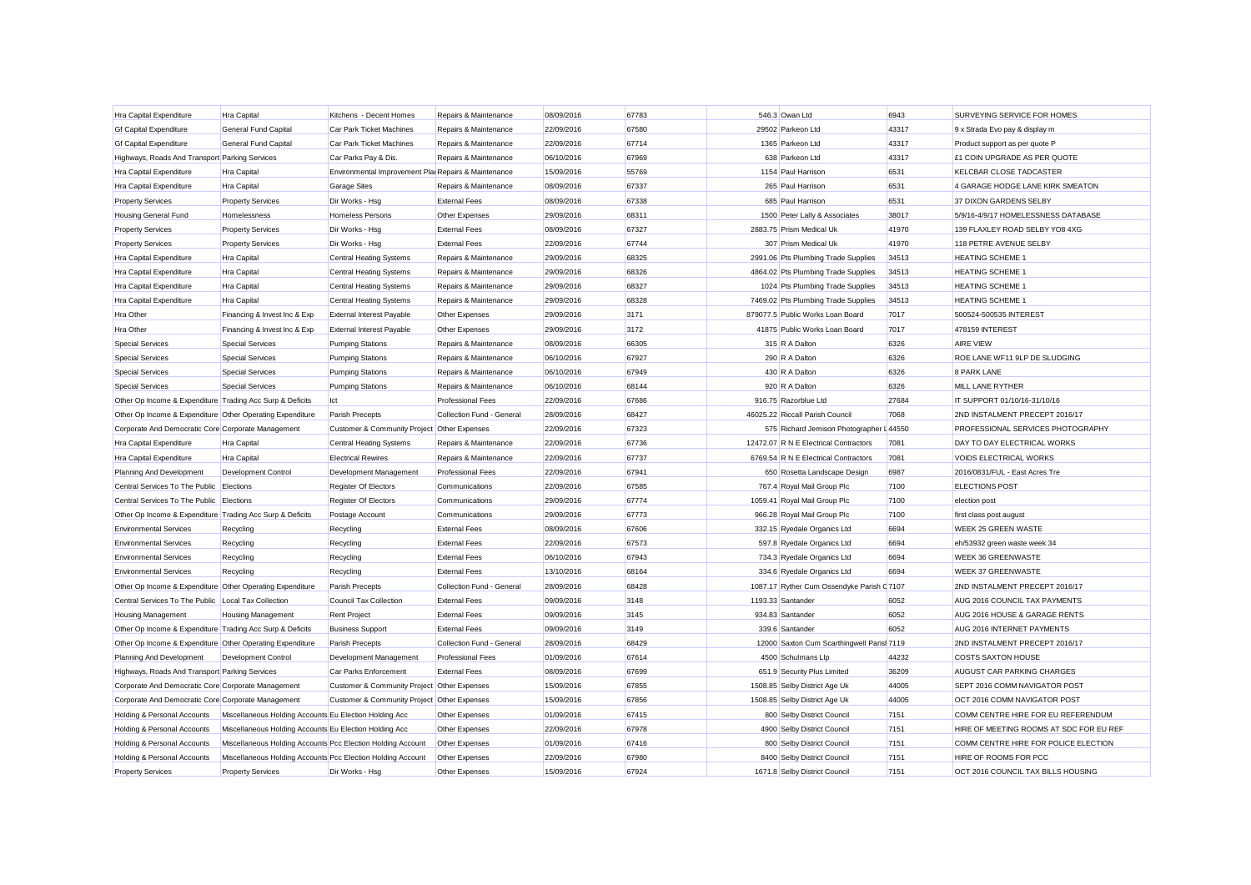| Hra Capital Expenditure                                   | <b>Hra Capital</b>                                          | Kitchens - Decent Homes                              | Repairs & Maintenance     | 08/09/2016 | 67783 | 546.3 Owan Ltd                             | 6943  | SURVEYING SERVICE FOR HOMES             |
|-----------------------------------------------------------|-------------------------------------------------------------|------------------------------------------------------|---------------------------|------------|-------|--------------------------------------------|-------|-----------------------------------------|
| <b>Gf Capital Expenditure</b>                             | <b>General Fund Capital</b>                                 | <b>Car Park Ticket Machines</b>                      | Repairs & Maintenance     | 22/09/2016 | 67580 | 29502 Parkeon Ltd                          | 43317 | 9 x Strada Evo pay & display m          |
| <b>Gf Capital Expenditure</b>                             | <b>General Fund Capital</b>                                 | Car Park Ticket Machines                             | Repairs & Maintenance     | 22/09/2016 | 67714 | 1365 Parkeon Ltd                           | 43317 | Product support as per quote P          |
| Highways, Roads And Transport Parking Services            |                                                             | Car Parks Pay & Dis.                                 | Repairs & Maintenance     | 06/10/2016 | 67969 | 638 Parkeon Ltd                            | 43317 | £1 COIN UPGRADE AS PER QUOTE            |
| Hra Capital Expenditure                                   | Hra Capital                                                 | Environmental Improvement Plai Repairs & Maintenance |                           | 15/09/2016 | 55769 | 1154 Paul Harrison                         | 6531  | KELCBAR CLOSE TADCASTER                 |
| Hra Capital Expenditure                                   | <b>Hra Capital</b>                                          | <b>Garage Sites</b>                                  | Repairs & Maintenance     | 08/09/2016 | 67337 | 265 Paul Harrison                          | 6531  | 4 GARAGE HODGE LANE KIRK SMEATON        |
| <b>Property Services</b>                                  | <b>Property Services</b>                                    | Dir Works - Hsg                                      | <b>External Fees</b>      | 08/09/2016 | 67338 | 685 Paul Harrison                          | 6531  | 37 DIXON GARDENS SELBY                  |
| Housing General Fund                                      | Homelessness                                                | Homeless Persons                                     | Other Expenses            | 29/09/2016 | 68311 | 1500 Peter Lally & Associates              | 38017 | 5/9/16-4/9/17 HOMELESSNESS DATABASE     |
| <b>Property Services</b>                                  | <b>Property Services</b>                                    | Dir Works - Hsg                                      | <b>External Fees</b>      | 08/09/2016 | 67327 | 2883.75 Prism Medical Uk                   | 41970 | 139 FLAXLEY ROAD SELBY YO8 4XG          |
| <b>Property Services</b>                                  | <b>Property Services</b>                                    | Dir Works - Hsg                                      | <b>External Fees</b>      | 22/09/2016 | 67744 | 307 Prism Medical Uk                       | 41970 | 118 PETRE AVENUE SELBY                  |
| Hra Capital Expenditure                                   | Hra Capital                                                 | <b>Central Heating Systems</b>                       | Repairs & Maintenance     | 29/09/2016 | 68325 | 2991.06 Pts Plumbing Trade Supplies        | 34513 | <b>HEATING SCHEME 1</b>                 |
| Hra Capital Expenditure                                   | Hra Capital                                                 | <b>Central Heating Systems</b>                       | Repairs & Maintenance     | 29/09/2016 | 68326 | 4864.02 Pts Plumbing Trade Supplies        | 34513 | <b>HEATING SCHEME 1</b>                 |
| Hra Capital Expenditure                                   | <b>Hra Capital</b>                                          | <b>Central Heating Systems</b>                       | Repairs & Maintenance     | 29/09/2016 | 68327 | 1024 Pts Plumbing Trade Supplies           | 34513 | <b>HEATING SCHEME 1</b>                 |
| Hra Capital Expenditure                                   | Hra Capital                                                 | <b>Central Heating Systems</b>                       | Repairs & Maintenance     | 29/09/2016 | 68328 | 7469.02 Pts Plumbing Trade Supplies        | 34513 | <b>HEATING SCHEME 1</b>                 |
| Hra Other                                                 | Financing & Invest Inc & Exp                                | External Interest Payable                            | Other Expenses            | 29/09/2016 | 3171  | 879077.5 Public Works Loan Board           | 7017  | 500524-500535 INTEREST                  |
| Hra Other                                                 | Financing & Invest Inc & Exp                                | <b>External Interest Payable</b>                     | Other Expenses            | 29/09/2016 | 3172  | 41875 Public Works Loan Board              | 7017  | 478159 INTEREST                         |
| <b>Special Services</b>                                   | <b>Special Services</b>                                     | <b>Pumping Stations</b>                              | Repairs & Maintenance     | 08/09/2016 | 66305 | 315 R A Dalton                             | 6326  | <b>AIRE VIEW</b>                        |
| <b>Special Services</b>                                   | <b>Special Services</b>                                     | <b>Pumping Stations</b>                              | Repairs & Maintenance     | 06/10/2016 | 67927 | 290 R A Dalton                             | 6326  | ROE LANE WF11 9LP DE SLUDGING           |
| <b>Special Services</b>                                   | <b>Special Services</b>                                     | <b>Pumping Stations</b>                              | Repairs & Maintenance     | 06/10/2016 | 67949 | 430 R A Dalton                             | 6326  | 8 PARK LANE                             |
| <b>Special Services</b>                                   | <b>Special Services</b>                                     | <b>Pumping Stations</b>                              | Repairs & Maintenance     | 06/10/2016 | 68144 | 920 R A Dalton                             | 6326  | MILL LANE RYTHER                        |
| Other Op Income & Expenditure Trading Acc Surp & Deficits |                                                             | Ict                                                  | <b>Professional Fees</b>  | 22/09/2016 | 67686 | 916.75 Razorblue Ltd                       | 27684 | IT SUPPORT 01/10/16-31/10/16            |
| Other Op Income & Expenditure Other Operating Expenditure |                                                             | Parish Precepts                                      | Collection Fund - General | 28/09/2016 | 68427 | 46025.22 Riccall Parish Council            | 7068  | 2ND INSTALMENT PRECEPT 2016/17          |
| Corporate And Democratic Core Corporate Management        |                                                             | Customer & Community Project Other Expenses          |                           | 22/09/2016 | 67323 | 575 Richard Jemison Photographer L 44550   |       | PROFESSIONAL SERVICES PHOTOGRAPHY       |
| Hra Capital Expenditure                                   | <b>Hra Capital</b>                                          | <b>Central Heating Systems</b>                       | Repairs & Maintenance     | 22/09/2016 | 67736 | 12472.07 R N E Electrical Contractors      | 7081  | DAY TO DAY ELECTRICAL WORKS             |
| Hra Capital Expenditure                                   | <b>Hra Capital</b>                                          | <b>Electrical Rewires</b>                            | Repairs & Maintenance     | 22/09/2016 | 67737 | 6769.54 R N E Electrical Contractors       | 7081  | <b>VOIDS ELECTRICAL WORKS</b>           |
| Planning And Development                                  | Development Control                                         | Development Management                               | <b>Professional Fees</b>  | 22/09/2016 | 67941 | 650 Rosetta Landscape Design               | 6987  | 2016/0831/FUL - East Acres Tre          |
| Central Services To The Public Elections                  |                                                             | Register Of Electors                                 | Communications            | 22/09/2016 | 67585 | 767.4 Royal Mail Group Plc                 | 7100  | <b>ELECTIONS POST</b>                   |
| Central Services To The Public Elections                  |                                                             | Register Of Electors                                 | Communications            | 29/09/2016 | 67774 | 1059.41 Royal Mail Group Plc               | 7100  | election post                           |
| Other Op Income & Expenditure Trading Acc Surp & Deficits |                                                             | Postage Account                                      | Communications            | 29/09/2016 | 67773 | 966.28 Royal Mail Group Plc                | 7100  | first class post august                 |
| <b>Environmental Services</b>                             | Recycling                                                   | Recycling                                            | <b>External Fees</b>      | 08/09/2016 | 67606 | 332.15 Ryedale Organics Ltd                | 6694  | WEEK 25 GREEN WASTE                     |
| <b>Environmental Services</b>                             | Recycling                                                   | Recycling                                            | <b>External Fees</b>      | 22/09/2016 | 67573 | 597.8 Ryedale Organics Ltd                 | 6694  | eh/53932 green waste week 34            |
| <b>Environmental Services</b>                             | Recycling                                                   | Recycling                                            | <b>External Fees</b>      | 06/10/2016 | 67943 | 734.3 Ryedale Organics Ltd                 | 6694  | <b>WEEK 36 GREENWASTE</b>               |
| <b>Environmental Services</b>                             | Recycling                                                   | Recycling                                            | <b>External Fees</b>      | 13/10/2016 | 68164 | 334.6 Ryedale Organics Ltd                 | 6694  | <b>WEEK 37 GREENWASTE</b>               |
| Other Op Income & Expenditure Other Operating Expenditure |                                                             | Parish Precepts                                      | Collection Fund - General | 28/09/2016 | 68428 | 1087.17 Ryther Cum Ossendyke Parish C 7107 |       | 2ND INSTALMENT PRECEPT 2016/17          |
| Central Services To The Public Local Tax Collection       |                                                             | Council Tax Collection                               | <b>External Fees</b>      | 09/09/2016 | 3148  | 1193.33 Santander                          | 6052  | AUG 2016 COUNCIL TAX PAYMENTS           |
| <b>Housing Management</b>                                 | Housing Management                                          | <b>Rent Project</b>                                  | <b>External Fees</b>      | 09/09/2016 | 3145  | 934.83 Santander                           | 6052  | AUG 2016 HOUSE & GARAGE RENTS           |
| Other Op Income & Expenditure Trading Acc Surp & Deficits |                                                             | <b>Business Support</b>                              | <b>External Fees</b>      | 09/09/2016 | 3149  | 339.6 Santander                            | 6052  | AUG 2016 INTERNET PAYMENTS              |
| Other Op Income & Expenditure Other Operating Expenditure |                                                             | Parish Precepts                                      | Collection Fund - General | 28/09/2016 | 68429 | 12000 Saxton Cum Scarthingwell Parisl 7119 |       | 2ND INSTALMENT PRECEPT 2016/17          |
| Planning And Development                                  | <b>Development Control</b>                                  | Development Management                               | <b>Professional Fees</b>  | 01/09/2016 | 67614 | 4500 Schulmans Llp                         | 44232 | <b>COSTS SAXTON HOUSE</b>               |
| Highways, Roads And Transport Parking Services            |                                                             | Car Parks Enforcement                                | <b>External Fees</b>      | 08/09/2016 | 67699 | 651.9 Security Plus Limited                | 36209 | AUGUST CAR PARKING CHARGES              |
| Corporate And Democratic Core Corporate Management        |                                                             | Customer & Community Project Other Expenses          |                           | 15/09/2016 | 67855 | 1508.85 Selby District Age Uk              | 44005 | SEPT 2016 COMM NAVIGATOR POST           |
| Corporate And Democratic Core Corporate Management        |                                                             | Customer & Community Project Other Expenses          |                           | 15/09/2016 | 67856 | 1508.85 Selby District Age Uk              | 44005 | OCT 2016 COMM NAVIGATOR POST            |
| Holding & Personal Accounts                               | Miscellaneous Holding Accounts Eu Election Holding Acc      |                                                      | Other Expenses            | 01/09/2016 | 67415 | 800 Selby District Council                 | 7151  | COMM CENTRE HIRE FOR EU REFERENDUM      |
| Holding & Personal Accounts                               | Miscellaneous Holding Accounts Eu Election Holding Acc      |                                                      | Other Expenses            | 22/09/2016 | 67978 | 4900 Selby District Council                | 7151  | HIRE OF MEETING ROOMS AT SDC FOR EU REF |
| Holding & Personal Accounts                               | Miscellaneous Holding Accounts Pcc Election Holding Account |                                                      | Other Expenses            | 01/09/2016 | 67416 | 800 Selby District Council                 | 7151  | COMM CENTRE HIRE FOR POLICE ELECTION    |
| Holding & Personal Accounts                               | Miscellaneous Holding Accounts Pcc Election Holding Account |                                                      | Other Expenses            | 22/09/2016 | 67980 | 8400 Selby District Council                | 7151  | HIRE OF ROOMS FOR PCC                   |
| <b>Property Services</b>                                  | <b>Property Services</b>                                    | Dir Works - Hsg                                      | Other Expenses            | 15/09/2016 | 67924 | 1671.8 Selby District Council              | 7151  | OCT 2016 COUNCIL TAX BILLS HOUSING      |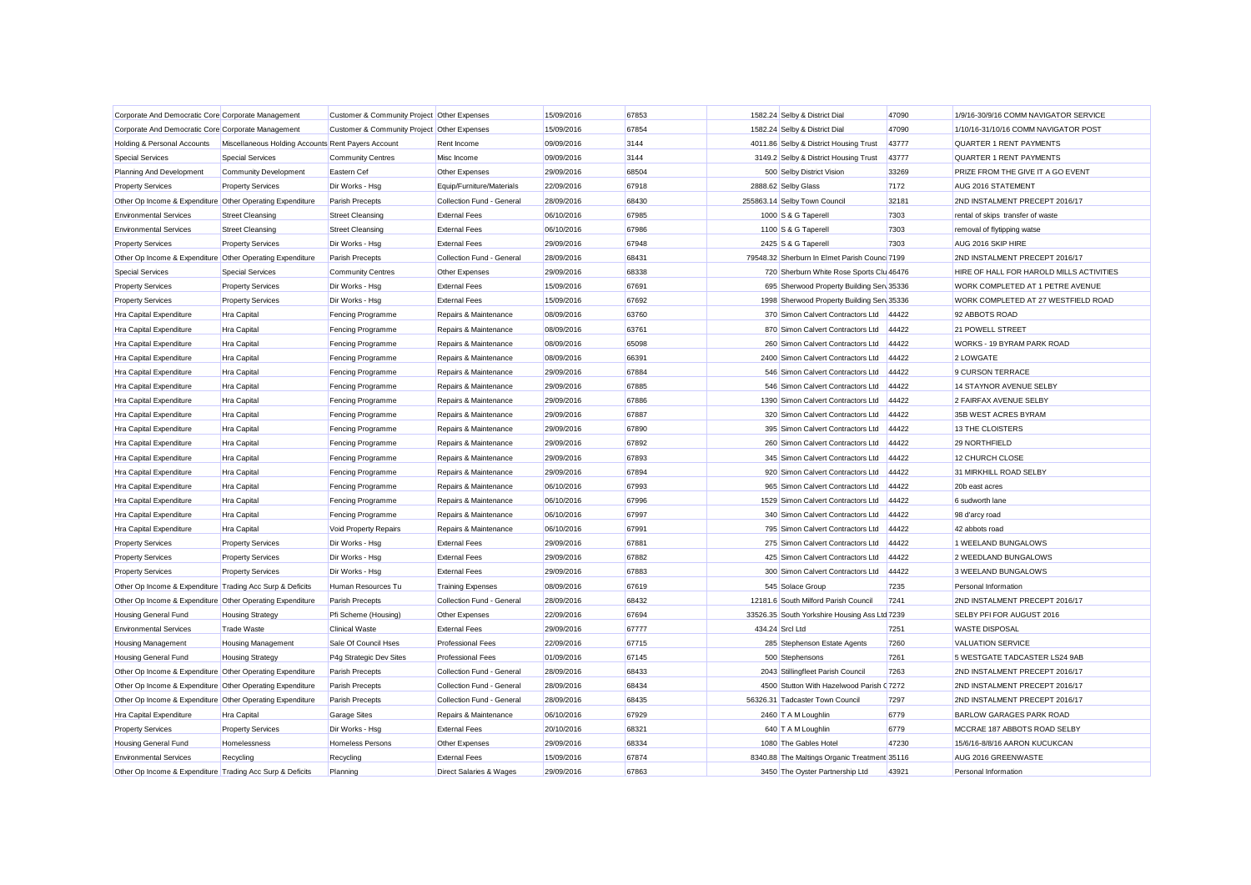| Corporate And Democratic Core Corporate Management        |                                                    | Customer & Community Project Other Expenses |                           | 15/09/2016 | 67853 | 1582.24 Selby & District Dial                 | 47090  | 1/9/16-30/9/16 COMM NAVIGATOR SERVICE    |
|-----------------------------------------------------------|----------------------------------------------------|---------------------------------------------|---------------------------|------------|-------|-----------------------------------------------|--------|------------------------------------------|
| Corporate And Democratic Core Corporate Management        |                                                    | Customer & Community Project Other Expenses |                           | 15/09/2016 | 67854 | 1582.24 Selby & District Dial                 | 47090  | 1/10/16-31/10/16 COMM NAVIGATOR POST     |
| Holding & Personal Accounts                               | Miscellaneous Holding Accounts Rent Payers Account |                                             | Rent Income               | 09/09/2016 | 3144  | 4011.86 Selby & District Housing Trust        | 43777  | <b>QUARTER 1 RENT PAYMENTS</b>           |
| <b>Special Services</b>                                   | <b>Special Services</b>                            | <b>Community Centres</b>                    | Misc Income               | 09/09/2016 | 3144  | 3149.2 Selby & District Housing Trust         | 43777  | <b>QUARTER 1 RENT PAYMENTS</b>           |
| Planning And Development                                  | Community Development                              | Eastern Cef                                 | Other Expenses            | 29/09/2016 | 68504 | 500 Selby District Vision                     | 33269  | PRIZE FROM THE GIVE IT A GO EVENT        |
| <b>Property Services</b>                                  | <b>Property Services</b>                           | Dir Works - Hsg                             | Equip/Furniture/Materials | 22/09/2016 | 67918 | 2888.62 Selby Glass                           | 7172   | AUG 2016 STATEMENT                       |
| Other Op Income & Expenditure Other Operating Expenditure |                                                    | Parish Precepts                             | Collection Fund - General | 28/09/2016 | 68430 | 255863.14 Selby Town Council                  | 32181  | 2ND INSTALMENT PRECEPT 2016/17           |
| <b>Environmental Services</b>                             | <b>Street Cleansing</b>                            | <b>Street Cleansing</b>                     | <b>External Fees</b>      | 06/10/2016 | 67985 | 1000 S & G Taperell                           | 7303   | rental of skips transfer of waste        |
| <b>Environmental Services</b>                             | <b>Street Cleansing</b>                            | <b>Street Cleansing</b>                     | <b>External Fees</b>      | 06/10/2016 | 67986 | 1100 S & G Taperell                           | 7303   | removal of flytipping watse              |
| <b>Property Services</b>                                  | <b>Property Services</b>                           | Dir Works - Hsg                             | <b>External Fees</b>      | 29/09/2016 | 67948 | 2425 S & G Taperell                           | 7303   | AUG 2016 SKIP HIRE                       |
| Other Op Income & Expenditure Other Operating Expenditure |                                                    | Parish Precepts                             | Collection Fund - General | 28/09/2016 | 68431 | 79548.32 Sherburn In Elmet Parish Counc 7199  |        | 2ND INSTALMENT PRECEPT 2016/17           |
| <b>Special Services</b>                                   | <b>Special Services</b>                            | <b>Community Centres</b>                    | Other Expenses            | 29/09/2016 | 68338 | 720 Sherburn White Rose Sports Clu 46476      |        | HIRE OF HALL FOR HAROLD MILLS ACTIVITIES |
| <b>Property Services</b>                                  | <b>Property Services</b>                           | Dir Works - Hsg                             | <b>External Fees</b>      | 15/09/2016 | 67691 | 695 Sherwood Property Building Sen 35336      |        | WORK COMPLETED AT 1 PETRE AVENUE         |
| <b>Property Services</b>                                  | <b>Property Services</b>                           | Dir Works - Hsg                             | <b>External Fees</b>      | 15/09/2016 | 67692 | 1998 Sherwood Property Building Serv 35336    |        | WORK COMPLETED AT 27 WESTFIELD ROAD      |
| Hra Capital Expenditure                                   | <b>Hra Capital</b>                                 | Fencing Programme                           | Repairs & Maintenance     | 08/09/2016 | 63760 | 370 Simon Calvert Contractors Ltd 44422       |        | 92 ABBOTS ROAD                           |
| Hra Capital Expenditure                                   | Hra Capital                                        | Fencing Programme                           | Repairs & Maintenance     | 08/09/2016 | 63761 | 870 Simon Calvert Contractors Ltd             | 44422  | 21 POWELL STREET                         |
| Hra Capital Expenditure                                   | Hra Capital                                        | Fencing Programme                           | Repairs & Maintenance     | 08/09/2016 | 65098 | 260 Simon Calvert Contractors Ltd             | 44422  | WORKS - 19 BYRAM PARK ROAD               |
| Hra Capital Expenditure                                   | Hra Capital                                        | Fencing Programme                           | Repairs & Maintenance     | 08/09/2016 | 66391 | 2400 Simon Calvert Contractors Ltd            | 44422  | 2 LOWGATE                                |
| Hra Capital Expenditure                                   | <b>Hra Capital</b>                                 | Fencing Programme                           | Repairs & Maintenance     | 29/09/2016 | 67884 | 546 Simon Calvert Contractors Ltd             | 44422  | 9 CURSON TERRACE                         |
| Hra Capital Expenditure                                   | Hra Capital                                        | Fencing Programme                           | Repairs & Maintenance     | 29/09/2016 | 67885 | 546 Simon Calvert Contractors Ltd             | 44422  | 14 STAYNOR AVENUE SELBY                  |
| Hra Capital Expenditure                                   | <b>Hra Capital</b>                                 | Fencing Programme                           | Repairs & Maintenance     | 29/09/2016 | 67886 | 1390 Simon Calvert Contractors Ltd            | 44422  | 2 FAIRFAX AVENUE SELBY                   |
| Hra Capital Expenditure                                   | <b>Hra Capital</b>                                 | Fencing Programme                           | Repairs & Maintenance     | 29/09/2016 | 67887 | 320 Simon Calvert Contractors Ltd             | 44422  | 35B WEST ACRES BYRAM                     |
| Hra Capital Expenditure                                   | <b>Hra Capital</b>                                 | Fencing Programme                           | Repairs & Maintenance     | 29/09/2016 | 67890 | 395 Simon Calvert Contractors Ltd             | 44422  | <b>13 THE CLOISTERS</b>                  |
| Hra Capital Expenditure                                   | Hra Capital                                        | Fencing Programme                           | Repairs & Maintenance     | 29/09/2016 | 67892 | 260 Simon Calvert Contractors Ltd             | 44422  | 29 NORTHFIELD                            |
| Hra Capital Expenditure                                   | Hra Capital                                        | Fencing Programme                           | Repairs & Maintenance     | 29/09/2016 | 67893 | 345 Simon Calvert Contractors Ltd             | 44422  | 12 CHURCH CLOSE                          |
| Hra Capital Expenditure                                   | Hra Capital                                        | Fencing Programme                           | Repairs & Maintenance     | 29/09/2016 | 67894 | 920 Simon Calvert Contractors Ltd             | 44422  | 31 MIRKHILL ROAD SELBY                   |
| Hra Capital Expenditure                                   | <b>Hra Capital</b>                                 | Fencing Programme                           | Repairs & Maintenance     | 06/10/2016 | 67993 | 965 Simon Calvert Contractors Ltd             | 44422  | 20b east acres                           |
| Hra Capital Expenditure                                   | Hra Capital                                        | Fencing Programme                           | Repairs & Maintenance     | 06/10/2016 | 67996 | 1529 Simon Calvert Contractors Ltd            | 44422  | 6 sudworth lane                          |
| Hra Capital Expenditure                                   | <b>Hra Capital</b>                                 | Fencing Programme                           | Repairs & Maintenance     | 06/10/2016 | 67997 | 340 Simon Calvert Contractors Ltd             | 44422  | 98 d'arcy road                           |
| Hra Capital Expenditure                                   | <b>Hra Capital</b>                                 | Void Property Repairs                       | Repairs & Maintenance     | 06/10/2016 | 67991 | 795 Simon Calvert Contractors Ltd             | 44422  | 42 abbots road                           |
| <b>Property Services</b>                                  | <b>Property Services</b>                           | Dir Works - Hsg                             | <b>External Fees</b>      | 29/09/2016 | 67881 | 275 Simon Calvert Contractors Ltd             | 44422  | 1 WEELAND BUNGALOWS                      |
| <b>Property Services</b>                                  | <b>Property Services</b>                           | Dir Works - Hsg                             | <b>External Fees</b>      | 29/09/2016 | 67882 | 425 Simon Calvert Contractors Ltd             | 44422  | 2 WEEDLAND BUNGALOWS                     |
| <b>Property Services</b>                                  | <b>Property Services</b>                           | Dir Works - Hsg                             | <b>External Fees</b>      | 29/09/2016 | 67883 | 300 Simon Calvert Contractors Ltd             | 44422  | 3 WEELAND BUNGALOWS                      |
| Other Op Income & Expenditure Trading Acc Surp & Deficits |                                                    | Human Resources Tu                          | <b>Training Expenses</b>  | 08/09/2016 | 67619 | 545 Solace Group                              | 7235   | Personal Information                     |
| Other Op Income & Expenditure Other Operating Expenditure |                                                    | Parish Precepts                             | Collection Fund - General | 28/09/2016 | 68432 | 12181.6 South Milford Parish Council          | 7241   | 2ND INSTALMENT PRECEPT 2016/17           |
| Housing General Fund                                      | <b>Housing Strategy</b>                            | Pfi Scheme (Housing)                        | Other Expenses            | 22/09/2016 | 67694 | 33526.35 South Yorkshire Housing Ass Ltd 7239 |        | SELBY PFI FOR AUGUST 2016                |
| <b>Environmental Services</b>                             | <b>Trade Waste</b>                                 | <b>Clinical Waste</b>                       | <b>External Fees</b>      | 29/09/2016 | 67777 | 434.24 Srcl Ltd                               | 7251   | <b>WASTE DISPOSAL</b>                    |
| <b>Housing Management</b>                                 | <b>Housing Management</b>                          | Sale Of Council Hses                        | <b>Professional Fees</b>  | 22/09/2016 | 67715 | 285 Stephenson Estate Agents                  | 7260   | <b>VALUATION SERVICE</b>                 |
| Housing General Fund                                      | <b>Housing Strategy</b>                            | P4g Strategic Dev Sites                     | <b>Professional Fees</b>  | 01/09/2016 | 67145 | 500 Stephensons                               | 7261   | 5 WESTGATE TADCASTER LS24 9AB            |
| Other Op Income & Expenditure Other Operating Expenditure |                                                    | Parish Precepts                             | Collection Fund - General | 28/09/2016 | 68433 | 2043 Stillingfleet Parish Council             | 7263   | 2ND INSTALMENT PRECEPT 2016/17           |
| Other Op Income & Expenditure Other Operating Expenditure |                                                    | Parish Precepts                             | Collection Fund - General | 28/09/2016 | 68434 | 4500 Stutton With Hazelwood Parish            | (7272) | 2ND INSTALMENT PRECEPT 2016/17           |
| Other Op Income & Expenditure Other Operating Expenditure |                                                    | Parish Precepts                             | Collection Fund - General | 28/09/2016 | 68435 | 56326.31 Tadcaster Town Council               | 7297   | 2ND INSTALMENT PRECEPT 2016/17           |
| Hra Capital Expenditure                                   | <b>Hra Capital</b>                                 | <b>Garage Sites</b>                         | Repairs & Maintenance     | 06/10/2016 | 67929 | 2460 T A M Loughlin                           | 6779   | <b>BARLOW GARAGES PARK ROAD</b>          |
| <b>Property Services</b>                                  | <b>Property Services</b>                           | Dir Works - Hsg                             | <b>External Fees</b>      | 20/10/2016 | 68321 | 640 T A M Loughlin                            | 6779   | MCCRAE 187 ABBOTS ROAD SELBY             |
| <b>Housing General Fund</b>                               | Homelessness                                       | <b>Homeless Persons</b>                     | Other Expenses            | 29/09/2016 | 68334 | 1080 The Gables Hotel                         | 47230  | 15/6/16-8/8/16 AARON KUCUKCAN            |
| <b>Environmental Services</b>                             | Recycling                                          | Recycling                                   | <b>External Fees</b>      | 15/09/2016 | 67874 | 8340.88 The Maltings Organic Treatment 35116  |        | AUG 2016 GREENWASTE                      |
| Other Op Income & Expenditure Trading Acc Surp & Deficits |                                                    | Planning                                    | Direct Salaries & Wages   | 29/09/2016 | 67863 | 3450 The Oyster Partnership Ltd               | 43921  | Personal Information                     |
|                                                           |                                                    |                                             |                           |            |       |                                               |        |                                          |